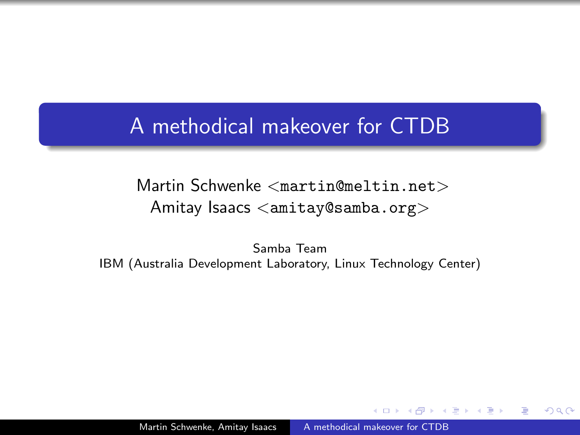## <span id="page-0-0"></span>A methodical makeover for CTDB

Martin Schwenke <martin@meltin.net> Amitay Isaacs <amitay@samba.org>

Samba Team IBM (Australia Development Laboratory, Linux Technology Center)

Martin Schwenke, Amitay Isaacs [A methodical makeover for CTDB](#page-161-0)

 $\Omega$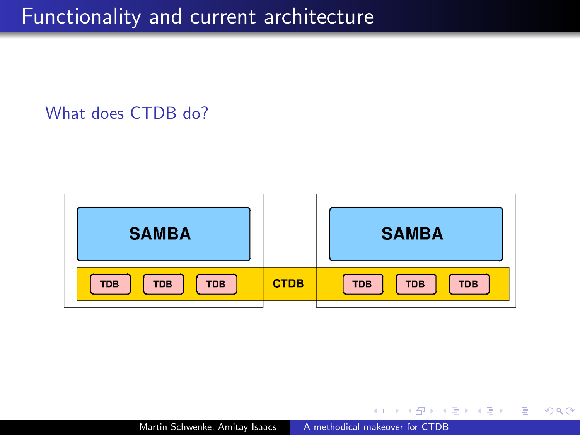#### What does CTDB do?



 $\Box$ 

э  $\sim$ - 4 三 ト  $QQ$ 

э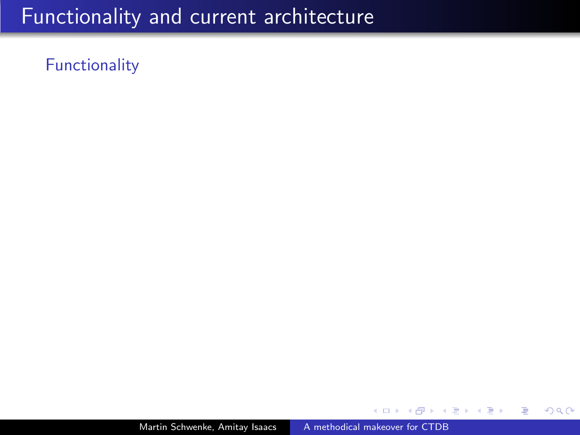### Functionality

Martin Schwenke, Amitay Isaacs [A methodical makeover for CTDB](#page-0-0)

つくへ

∍ Пb.

∍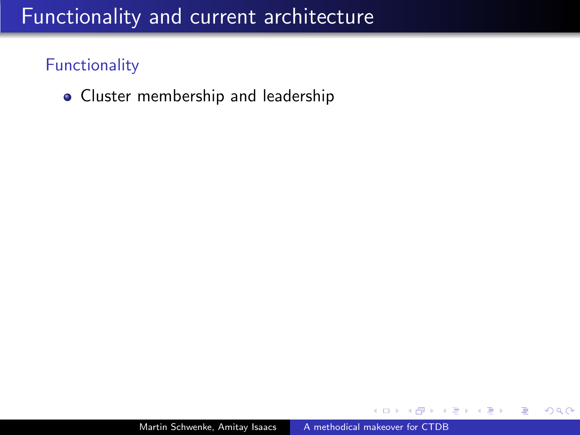### Functionality

• Cluster membership and leadership

つくへ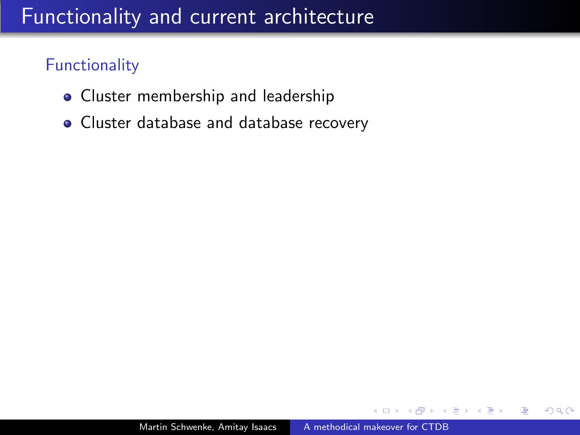## **Functionality**

- Cluster membership and leadership
- Cluster database and database recovery

 $\Omega$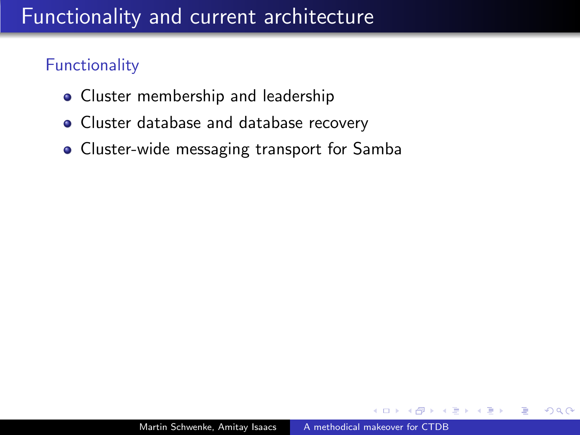### **Functionality**

- Cluster membership and leadership
- Cluster database and database recovery
- Cluster-wide messaging transport for Samba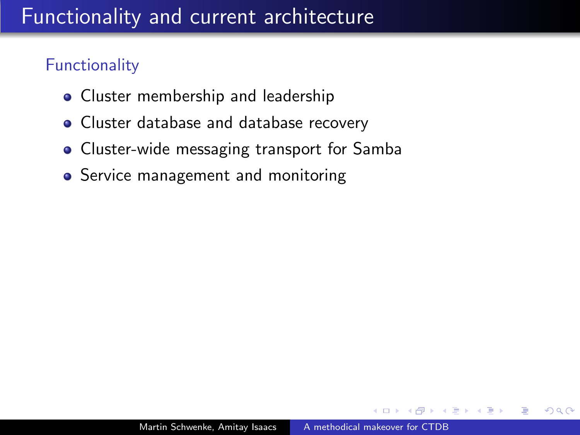### **Functionality**

- Cluster membership and leadership
- Cluster database and database recovery
- Cluster-wide messaging transport for Samba
- **•** Service management and monitoring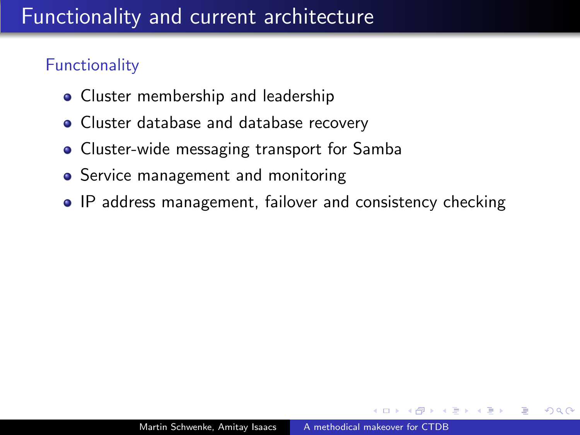### **Functionality**

- Cluster membership and leadership
- Cluster database and database recovery
- Cluster-wide messaging transport for Samba
- **•** Service management and monitoring
- IP address management, failover and consistency checking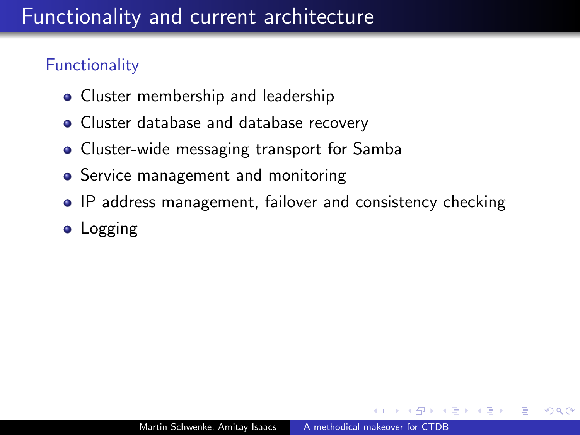## **Functionality**

- Cluster membership and leadership
- Cluster database and database recovery
- Cluster-wide messaging transport for Samba
- **•** Service management and monitoring
- IP address management, failover and consistency checking
- Logging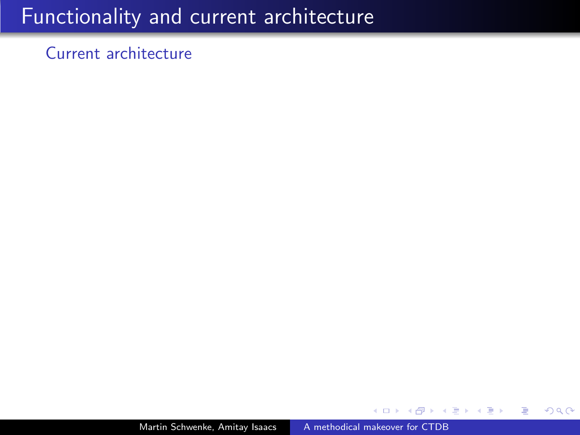Current architecture

つくへ

∍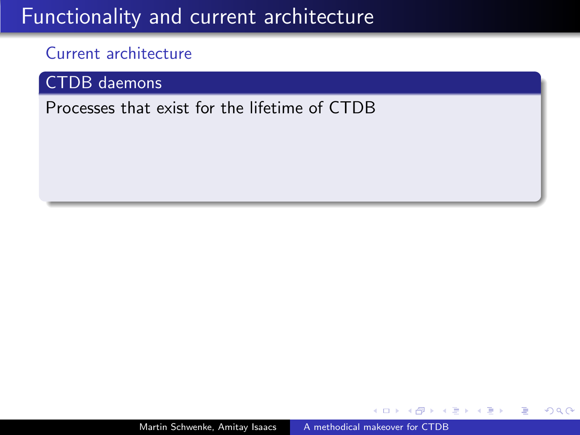### Current architecture

CTDB daemons

Processes that exist for the lifetime of CTDB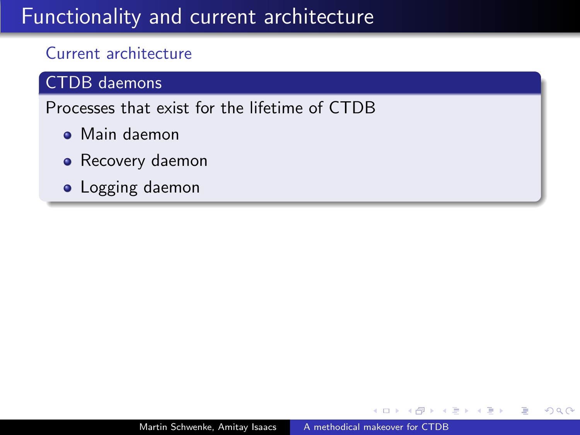### Current architecture

#### CTDB daemons

Processes that exist for the lifetime of CTDB

- Main daemon
- Recovery daemon
- **•** Logging daemon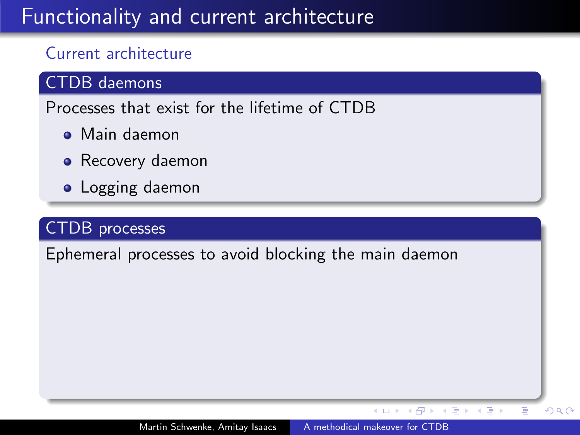### Current architecture

#### CTDB daemons

Processes that exist for the lifetime of CTDB

- Main daemon
- Recovery daemon
- Logging daemon

### CTDB processes

Ephemeral processes to avoid blocking the main daemon

 $\leftarrow$ 

 $\mathbb{B} \rightarrow \mathbb{R} \oplus \mathbb{R}$ 

Þ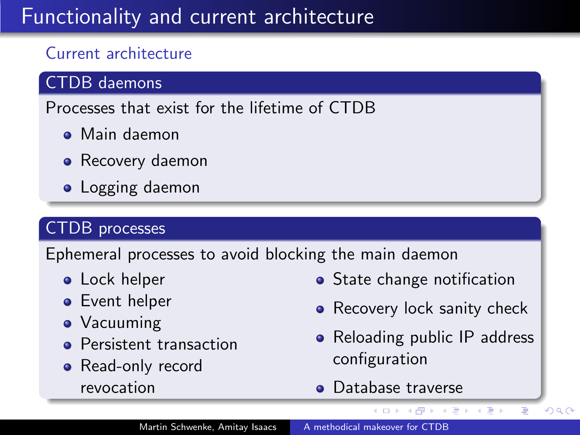### Current architecture

#### CTDB daemons

Processes that exist for the lifetime of CTDB

- Main daemon
- Recovery daemon
- Logging daemon

### CTDB processes

Ephemeral processes to avoid blocking the main daemon

- **•** Lock helper
- **•** Event helper
- Vacuuming
- **•** Persistent transaction
- Read-only record revocation
- State change notification
- Recovery lock sanity check
- Reloading public IP address configuration

イロト イ伊 トイヨ トイヨト

Þ

 $QQ$ 

**o** Database traverse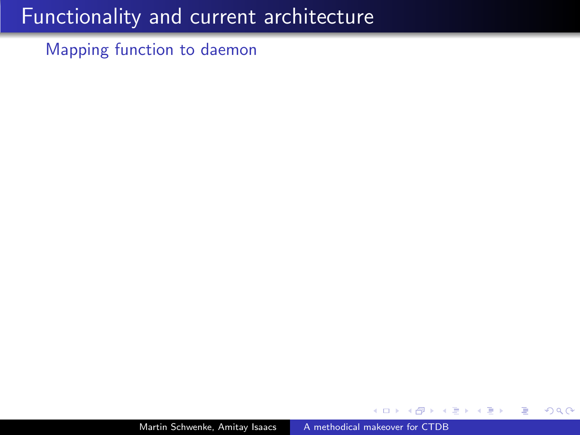Mapping function to daemon

つくへ

∍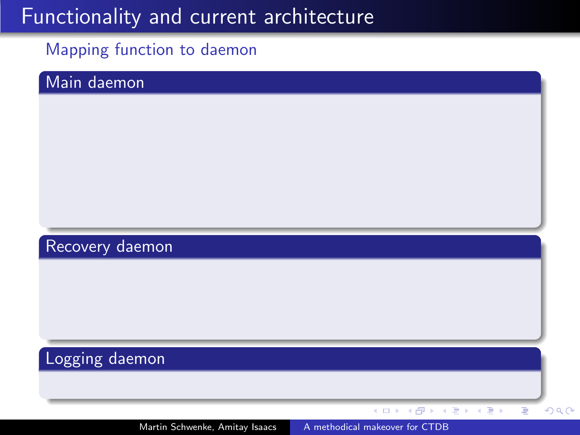#### Mapping function to daemon

#### Main daemon

### Recovery daemon

## Logging daemon

Martin Schwenke, Amitay Isaacs [A methodical makeover for CTDB](#page-0-0)

 $\leftarrow$   $\leftarrow$   $\leftarrow$   $\leftarrow$ 

4 0 8

医电子 医重子

Ξ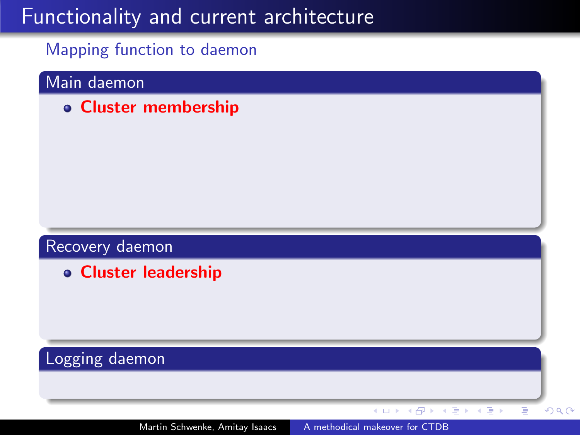Mapping function to daemon

#### Main daemon

Cluster membership

#### Recovery daemon

Cluster leadership

### Logging daemon

 $\mathbf{A} \equiv \mathbf{B} + \mathbf{A} \equiv \mathbf{B}$ 

 $\leftarrow$  $\mathbf{p}$ ∢母 × Ξ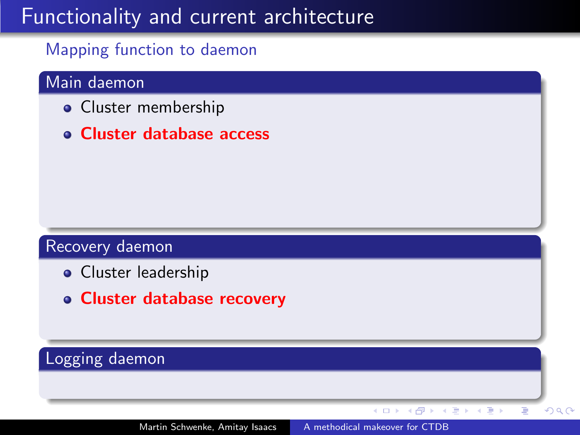#### Mapping function to daemon

#### Main daemon

- Cluster membership
- Cluster database access

#### Recovery daemon

- Cluster leadership
- Cluster database recovery

### Logging daemon

 $\leftarrow$ 

重き メラチ

Þ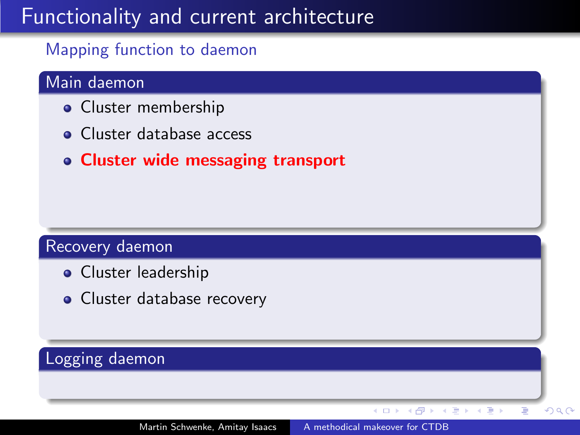#### Mapping function to daemon

### Main daemon

- **•** Cluster membership
- **Cluster database access**
- Cluster wide messaging transport

#### Recovery daemon

- Cluster leadership
- Cluster database recovery

### Logging daemon

 $\leftarrow$ 

 $\Rightarrow$ Þ

÷.  $\mathbf{F}=\mathbf{A}$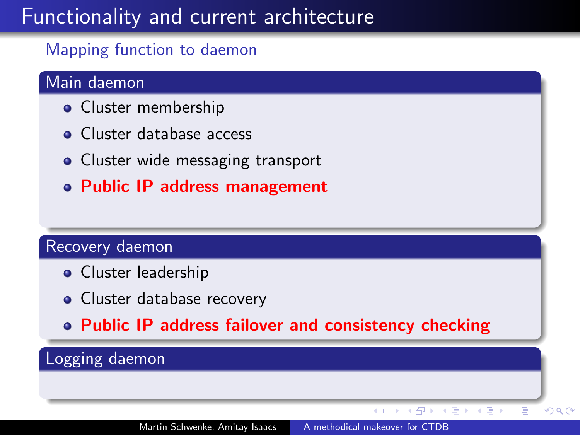### Mapping function to daemon

### Main daemon

- Cluster membership
- **Cluster database access**
- Cluster wide messaging transport
- Public IP address management

#### Recovery daemon

- **•** Cluster leadership
- Cluster database recovery
- Public IP address failover and consistency checking

### Logging daemon

Þ

 $\mathbf{F}=\mathbf{A}$ ヨト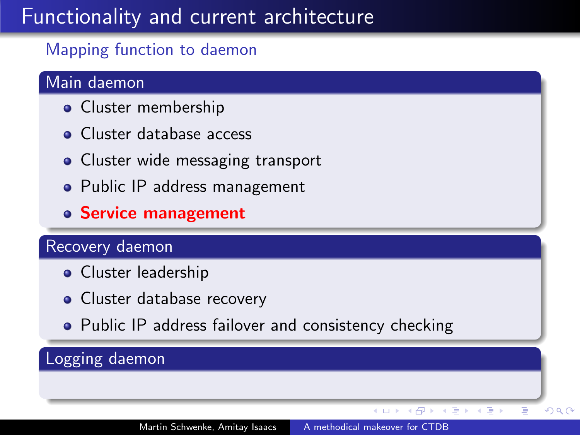### Mapping function to daemon

### Main daemon

- Cluster membership
- **Cluster database access**
- Cluster wide messaging transport
- Public IP address management
- Service management

#### Recovery daemon

- **•** Cluster leadership
- Cluster database recovery
- Public IP address failover and consistency checking

### Logging daemon

 $QQ$ 

 $\mathbf{F}=\mathbf{A}$ ヨト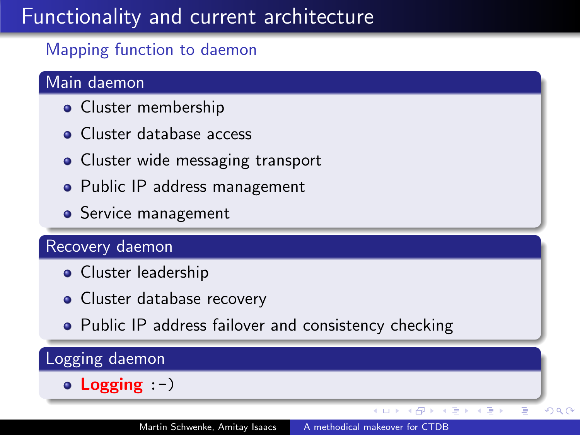### Mapping function to daemon

### Main daemon

- Cluster membership
- **Cluster database access**
- Cluster wide messaging transport
- Public IP address management
- Service management

#### Recovery daemon

- **•** Cluster leadership
- Cluster database recovery
- Public IP address failover and consistency checking

#### Logging daemon  $\bullet$  Logging :-)  $QQ$  $\mathbf{p}$ ÷.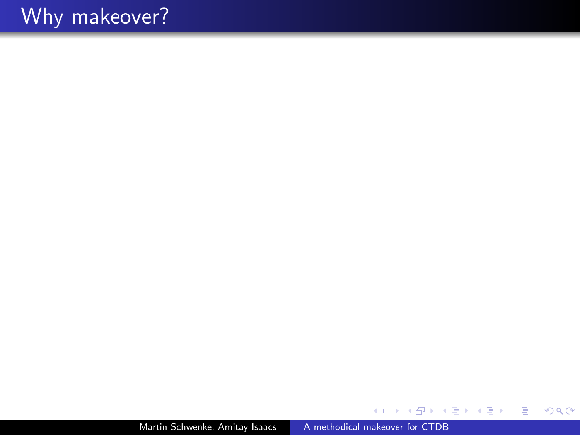Martin Schwenke, Amitay Isaacs [A methodical makeover for CTDB](#page-0-0)

 $\leftarrow$ 

- b ×. Æ

→ す唐\* す唐\*

目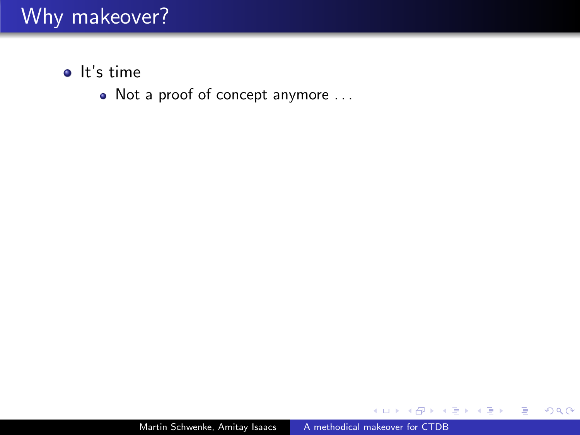- $\bullet$  It's time
	- Not a proof of concept anymore ...

 $\sim$   $\sim$ 

 $\rightarrow$   $\equiv$   $\rightarrow$ 

 $\sim$ 

э  $\,$ э

×.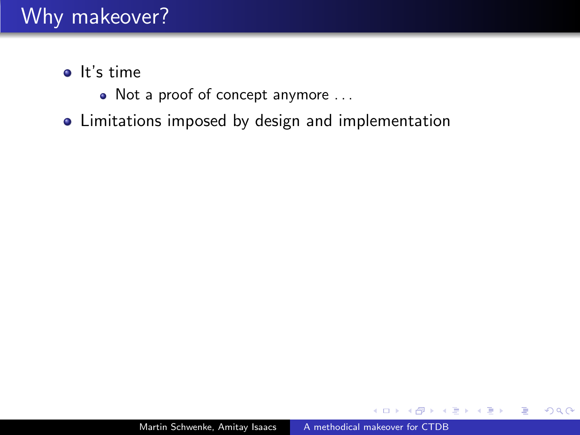- $\bullet$  It's time
	- Not a proof of concept anymore ...
- Limitations imposed by design and implementation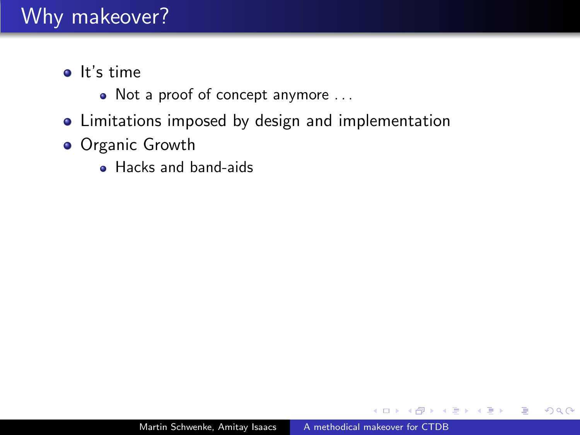- $\bullet$  It's time
	- Not a proof of concept anymore ...
- Limitations imposed by design and implementation
- **Organic Growth** 
	- Hacks and band-aids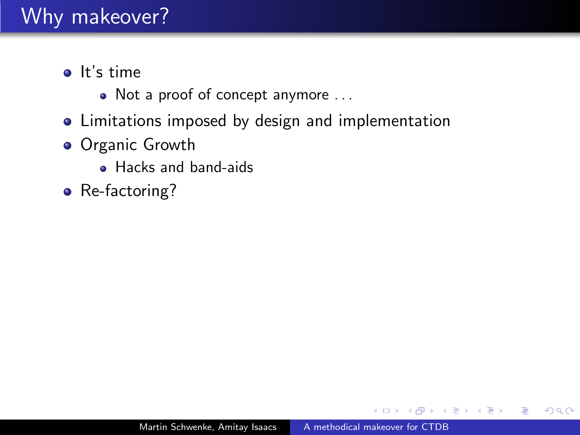- $\bullet$  It's time
	- Not a proof of concept anymore ...
- Limitations imposed by design and implementation
- **Organic Growth** 
	- Hacks and band-aids
- Re-factoring?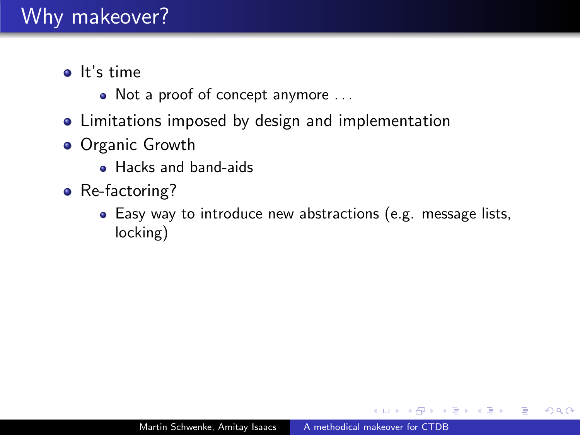- $\bullet$  It's time
	- Not a proof of concept anymore ...
- Limitations imposed by design and implementation
- **•** Organic Growth
	- Hacks and band-aids
- Re-factoring?
	- Easy way to introduce new abstractions (e.g. message lists, locking)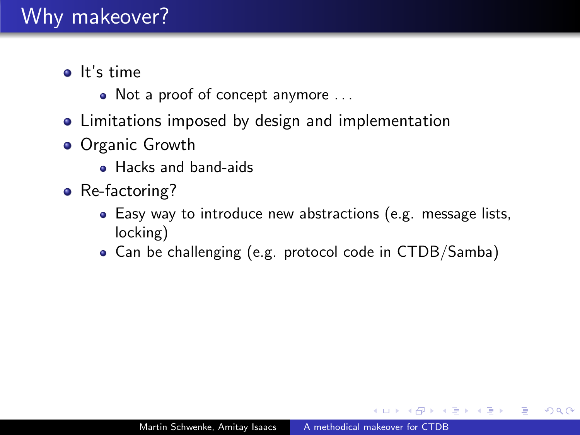- $\bullet$  It's time
	- Not a proof of concept anymore ...
- Limitations imposed by design and implementation
- **•** Organic Growth
	- Hacks and band-aids
- Re-factoring?
	- Easy way to introduce new abstractions (e.g. message lists, locking)
	- Can be challenging (e.g. protocol code in CTDB/Samba)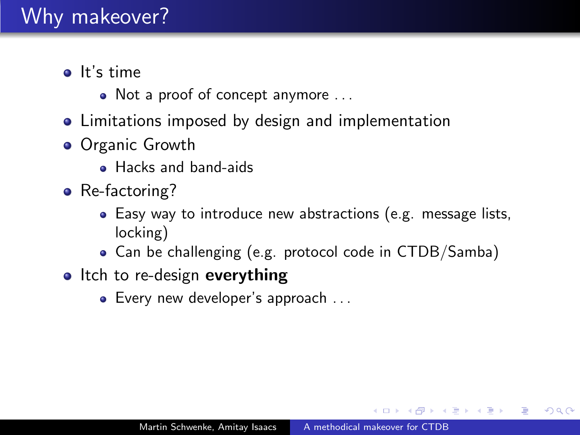- $\bullet$  It's time
	- Not a proof of concept anymore ...
- Limitations imposed by design and implementation
- **•** Organic Growth
	- Hacks and band-aids
- Re-factoring?
	- Easy way to introduce new abstractions (e.g. message lists, locking)
	- Can be challenging (e.g. protocol code in CTDB/Samba)
- Itch to re-design everything
	- Every new developer's approach ...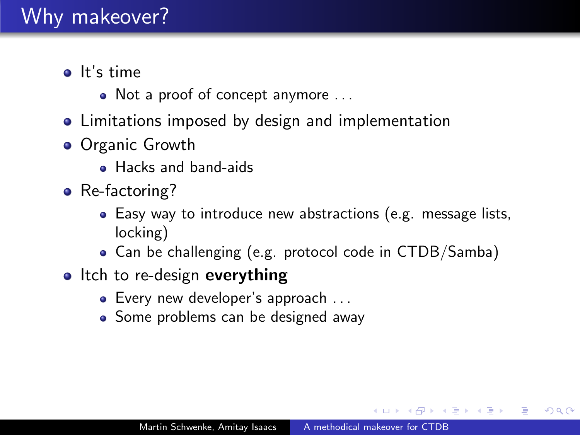- $\bullet$  It's time
	- Not a proof of concept anymore ...
- Limitations imposed by design and implementation
- **•** Organic Growth
	- Hacks and band-aids
- Re-factoring?
	- Easy way to introduce new abstractions (e.g. message lists, locking)
	- Can be challenging (e.g. protocol code in CTDB/Samba)
- Itch to re-design everything
	- Every new developer's approach ...
	- Some problems can be designed away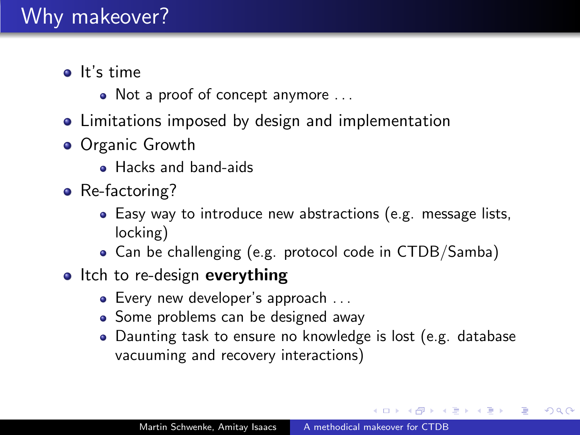- $\bullet$  It's time
	- Not a proof of concept anymore ...
- Limitations imposed by design and implementation
- **•** Organic Growth
	- Hacks and band-aids
- Re-factoring?
	- Easy way to introduce new abstractions (e.g. message lists, locking)
	- Can be challenging (e.g. protocol code in CTDB/Samba)
- Itch to re-design everything
	- Every new developer's approach ...
	- Some problems can be designed away
	- Daunting task to ensure no knowledge is lost (e.g. database vacuuming and recovery interactions)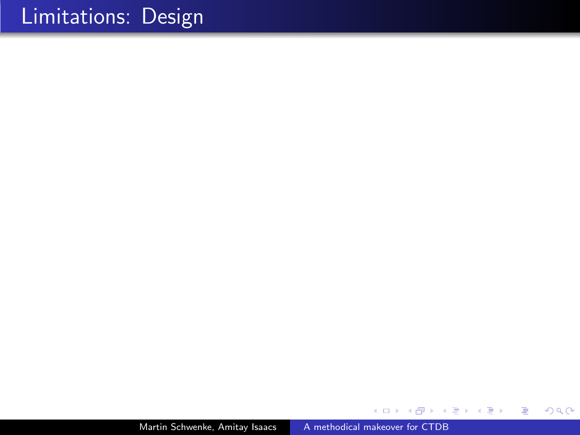Martin Schwenke, Amitay Isaacs [A methodical makeover for CTDB](#page-0-0)

∢⊡

→ 差

D. × -b

Þ.

Ε

э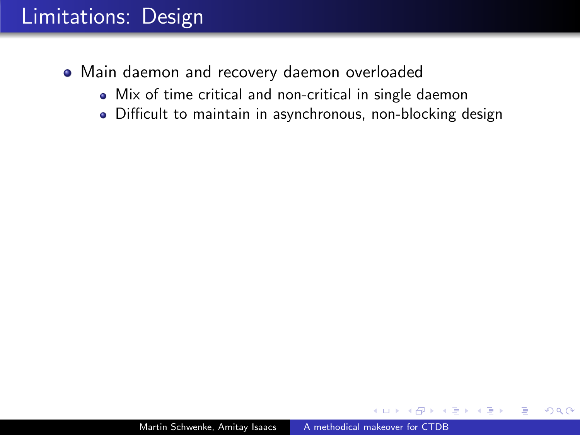- Main daemon and recovery daemon overloaded
	- Mix of time critical and non-critical in single daemon
	- Difficult to maintain in asynchronous, non-blocking design

 $\Omega$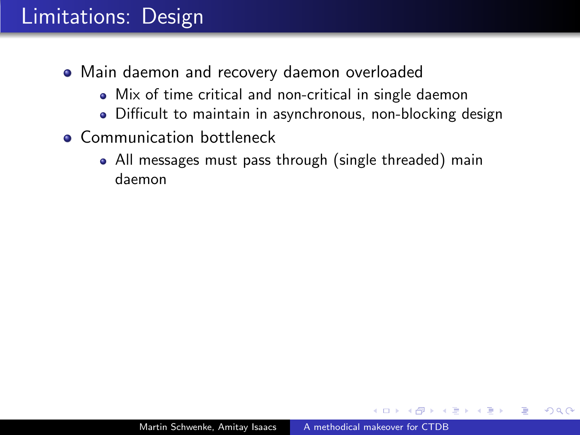- Main daemon and recovery daemon overloaded
	- Mix of time critical and non-critical in single daemon
	- Difficult to maintain in asynchronous, non-blocking design
- **Communication bottleneck** 
	- All messages must pass through (single threaded) main daemon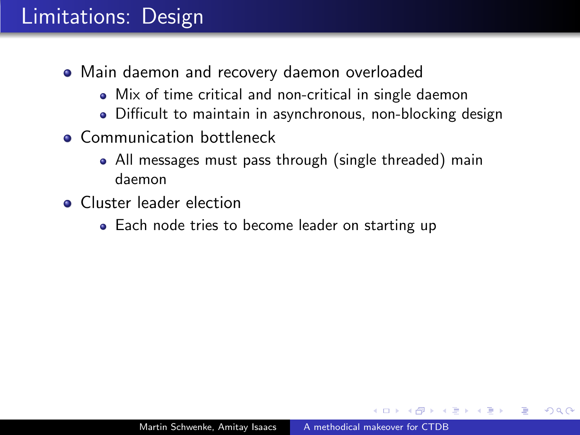- Main daemon and recovery daemon overloaded
	- Mix of time critical and non-critical in single daemon
	- Difficult to maintain in asynchronous, non-blocking design
- **Communication bottleneck** 
	- All messages must pass through (single threaded) main daemon
- **Cluster leader election** 
	- Each node tries to become leader on starting up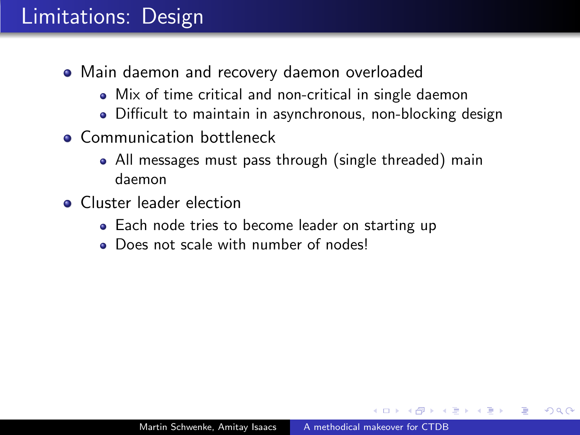- Main daemon and recovery daemon overloaded
	- Mix of time critical and non-critical in single daemon
	- Difficult to maintain in asynchronous, non-blocking design
- **Communication bottleneck** 
	- All messages must pass through (single threaded) main daemon
- **Cluster leader election** 
	- Each node tries to become leader on starting up
	- Does not scale with number of nodes!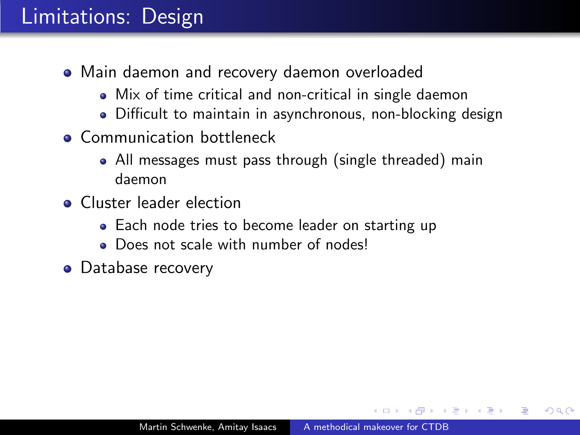- Main daemon and recovery daemon overloaded
	- Mix of time critical and non-critical in single daemon
	- Difficult to maintain in asynchronous, non-blocking design
- **Communication bottleneck** 
	- All messages must pass through (single threaded) main daemon
- **Cluster leader election** 
	- Each node tries to become leader on starting up
	- Does not scale with number of nodes!
- Database recovery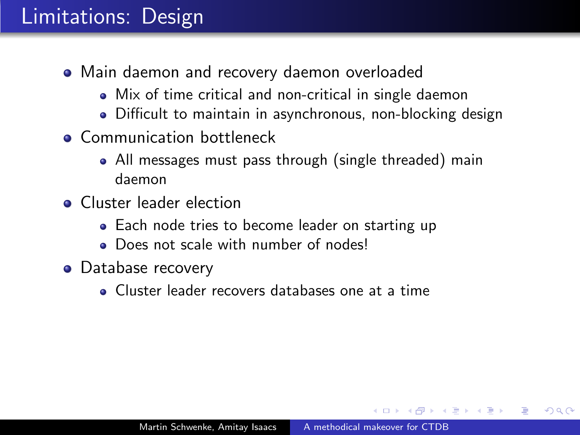- Main daemon and recovery daemon overloaded
	- Mix of time critical and non-critical in single daemon
	- Difficult to maintain in asynchronous, non-blocking design
- **Communication bottleneck** 
	- All messages must pass through (single threaded) main daemon
- **Cluster leader election** 
	- Each node tries to become leader on starting up
	- **Does not scale with number of nodes!**
- Database recovery
	- Cluster leader recovers databases one at a time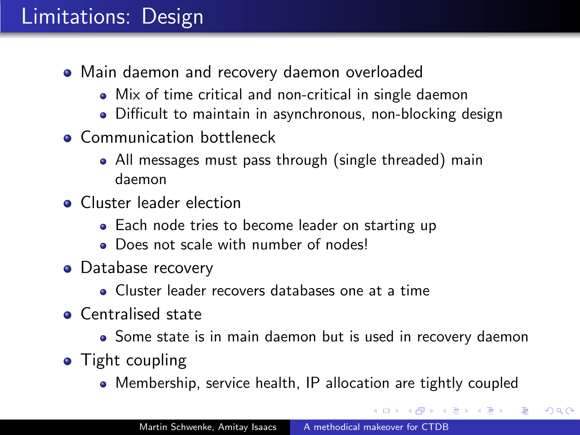- Main daemon and recovery daemon overloaded
	- Mix of time critical and non-critical in single daemon
	- Difficult to maintain in asynchronous, non-blocking design
- **Communication bottleneck** 
	- All messages must pass through (single threaded) main daemon
- **Cluster leader election** 
	- Each node tries to become leader on starting up
	- Does not scale with number of nodes!
- Database recovery
	- Cluster leader recovers databases one at a time
- **Centralised state** 
	- Some state is in main daemon but is used in recovery daemon
- Tight coupling
	- Membership, service health, IP allocation are tightly coupled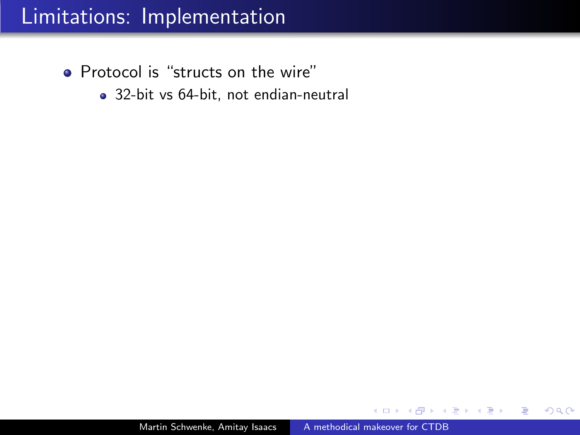- Protocol is "structs on the wire"
	- 32-bit vs 64-bit, not endian-neutral

∍

つくへ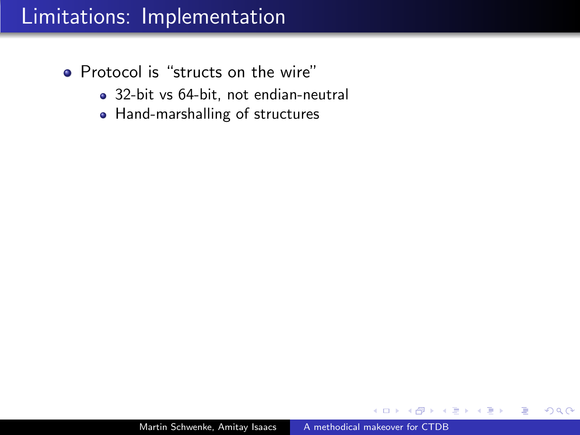- Protocol is "structs on the wire"
	- 32-bit vs 64-bit, not endian-neutral
	- Hand-marshalling of structures

 $\Omega$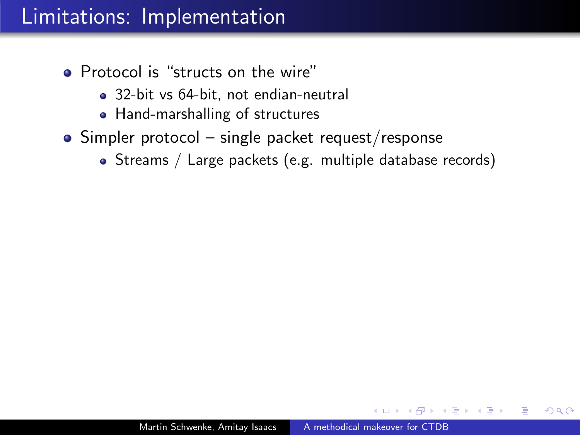- Protocol is "structs on the wire"
	- 32-bit vs 64-bit, not endian-neutral
	- Hand-marshalling of structures
- $\bullet$  Simpler protocol single packet request/response
	- Streams / Large packets (e.g. multiple database records)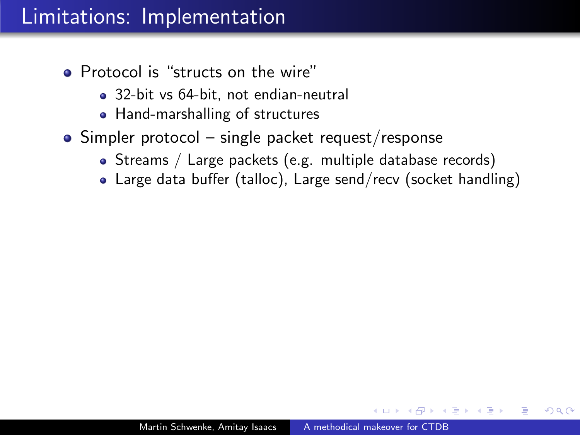- Protocol is "structs on the wire"
	- 32-bit vs 64-bit, not endian-neutral
	- Hand-marshalling of structures
- $\bullet$  Simpler protocol single packet request/response
	- Streams / Large packets (e.g. multiple database records)
	- Large data buffer (talloc), Large send/recv (socket handling)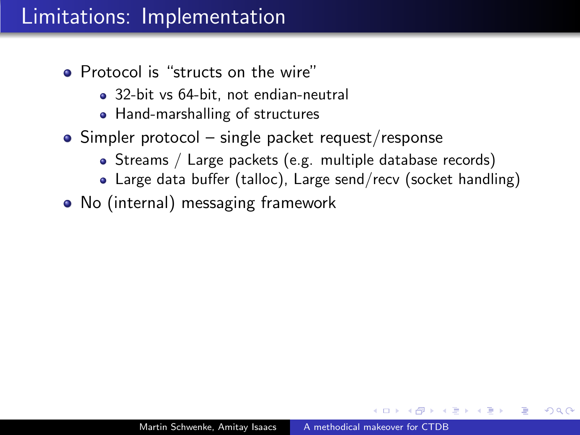- Protocol is "structs on the wire"
	- 32-bit vs 64-bit, not endian-neutral
	- Hand-marshalling of structures
- $\bullet$  Simpler protocol single packet request/response
	- Streams / Large packets (e.g. multiple database records)
	- Large data buffer (talloc), Large send/recv (socket handling)
- No (internal) messaging framework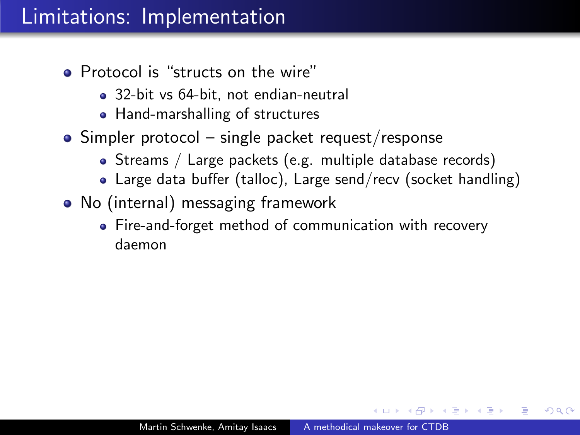- Protocol is "structs on the wire"
	- 32-bit vs 64-bit, not endian-neutral
	- Hand-marshalling of structures
- $\bullet$  Simpler protocol single packet request/response
	- Streams / Large packets (e.g. multiple database records)
	- Large data buffer (talloc), Large send/recv (socket handling)
- No (internal) messaging framework
	- Fire-and-forget method of communication with recovery daemon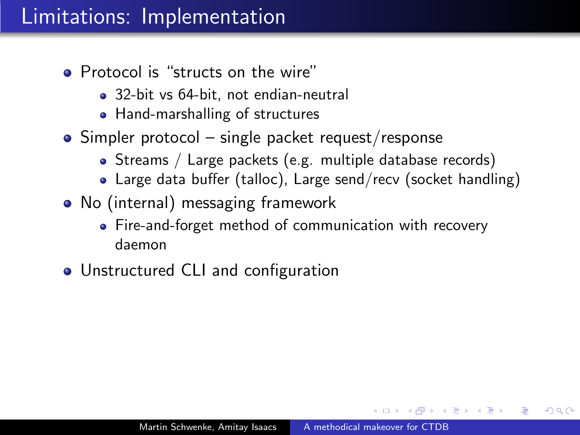- Protocol is "structs on the wire"
	- 32-bit vs 64-bit, not endian-neutral
	- Hand-marshalling of structures
- $\bullet$  Simpler protocol single packet request/response
	- Streams / Large packets (e.g. multiple database records)
	- Large data buffer (talloc), Large send/recv (socket handling)
- No (internal) messaging framework
	- Fire-and-forget method of communication with recovery daemon
- Unstructured CLI and configuration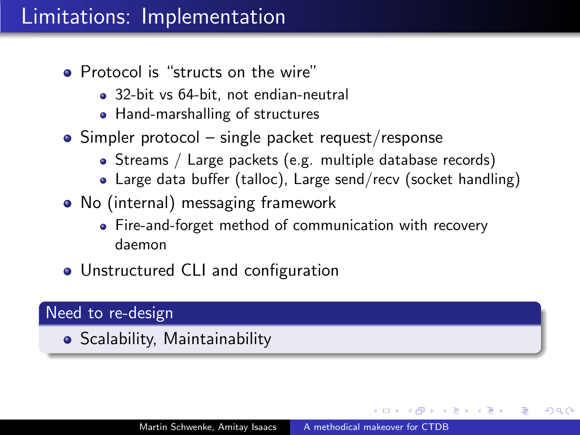- Protocol is "structs on the wire"
	- 32-bit vs 64-bit, not endian-neutral
	- Hand-marshalling of structures
- $\bullet$  Simpler protocol single packet request/response
	- Streams / Large packets (e.g. multiple database records)
	- Large data buffer (talloc), Large send/recv (socket handling)
- No (internal) messaging framework
	- Fire-and-forget method of communication with recovery daemon
- Unstructured CLI and configuration

#### Need to re-design

**• Scalability, Maintainability**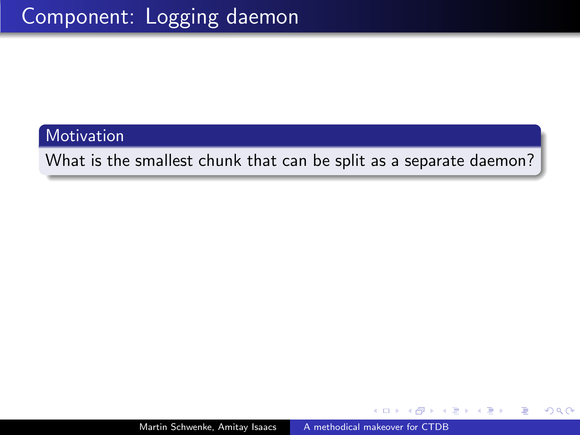Motivation

What is the smallest chunk that can be split as a separate daemon?

ヨメ イヨメ

 $\Omega$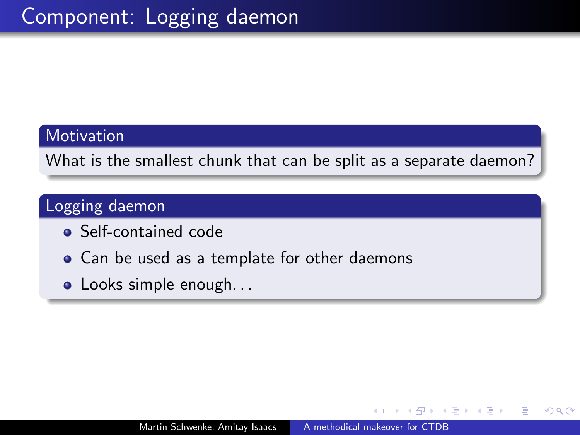#### **Motivation**

What is the smallest chunk that can be split as a separate daemon?

### Logging daemon

- Self-contained code
- Can be used as a template for other daemons
- Looks simple enough...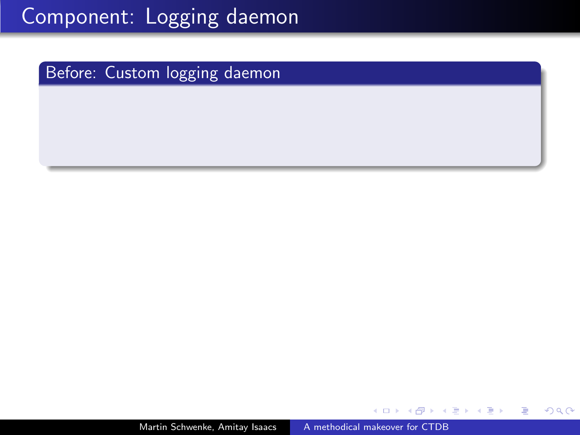Martin Schwenke, Amitay Isaacs [A methodical makeover for CTDB](#page-0-0)

Þ

∍  $\sim$ 

э

 $\sim$ 

 $299$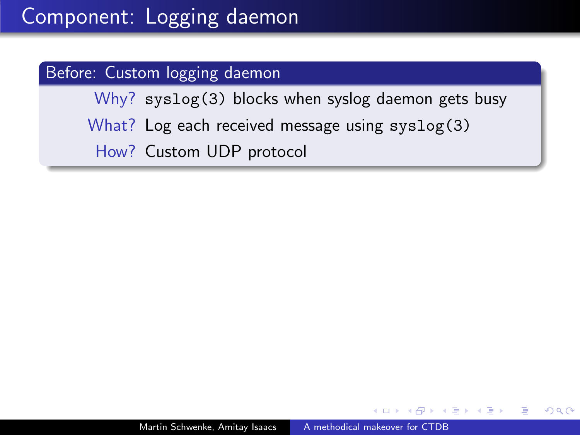Why? syslog(3) blocks when syslog daemon gets busy What? Log each received message using syslog(3) How? Custom UDP protocol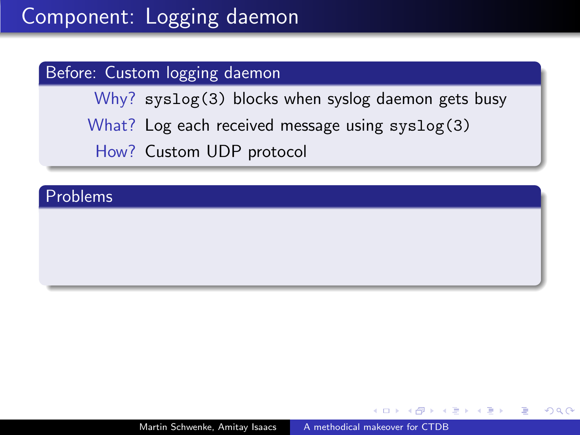Why? syslog(3) blocks when syslog daemon gets busy What? Log each received message using syslog(3) How? Custom UDP protocol

#### Problems

 $200$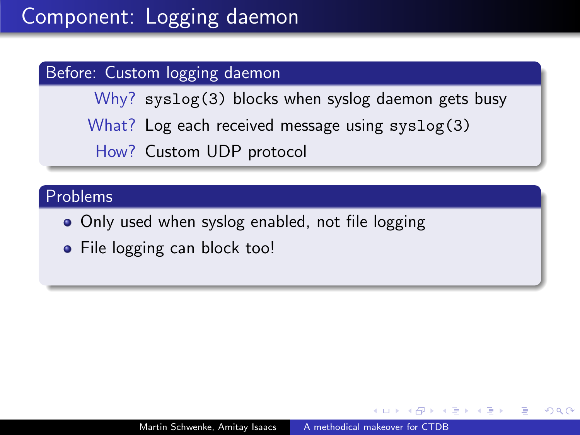Why? syslog(3) blocks when syslog daemon gets busy What? Log each received message using syslog(3) How? Custom UDP protocol

#### Problems

- Only used when syslog enabled, not file logging
- File logging can block too!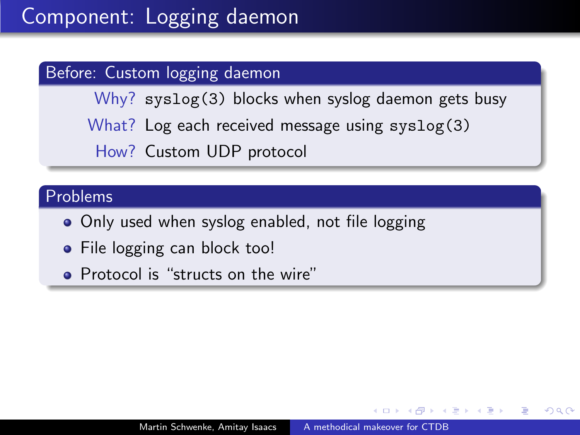Why? syslog(3) blocks when syslog daemon gets busy What? Log each received message using syslog(3) How? Custom UDP protocol

#### Problems

- Only used when syslog enabled, not file logging
- File logging can block too!
- Protocol is "structs on the wire"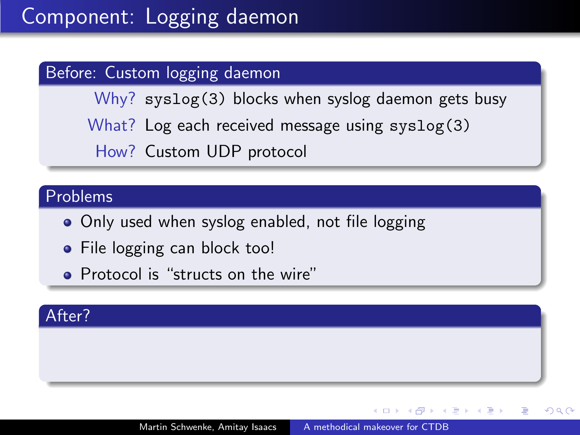Why? syslog(3) blocks when syslog daemon gets busy What? Log each received message using syslog(3) How? Custom UDP protocol

#### Problems

- Only used when syslog enabled, not file logging
- File logging can block too!
- Protocol is "structs on the wire"

#### After?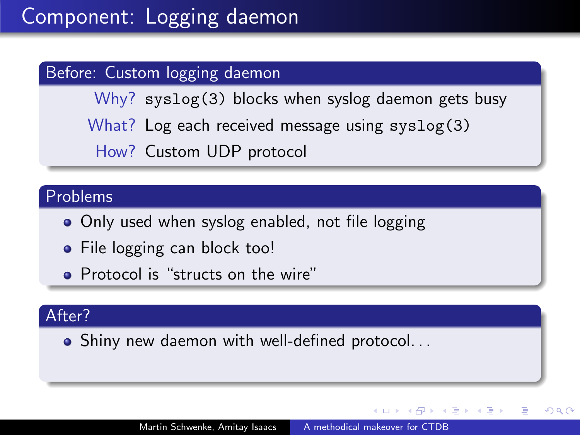Why? syslog(3) blocks when syslog daemon gets busy What? Log each received message using syslog(3) How? Custom UDP protocol

#### Problems

- Only used when syslog enabled, not file logging
- File logging can block too!
- Protocol is "structs on the wire"

#### After?

Shiny new daemon with well-defined protocol. . .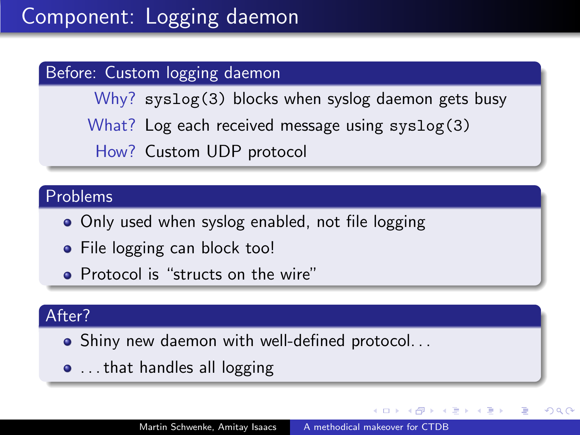Why? syslog(3) blocks when syslog daemon gets busy What? Log each received message using syslog(3) How? Custom UDP protocol

#### Problems

- Only used when syslog enabled, not file logging
- File logging can block too!
- Protocol is "structs on the wire"

#### After?

- Shiny new daemon with well-defined protocol. . .
- **.** . . that handles all logging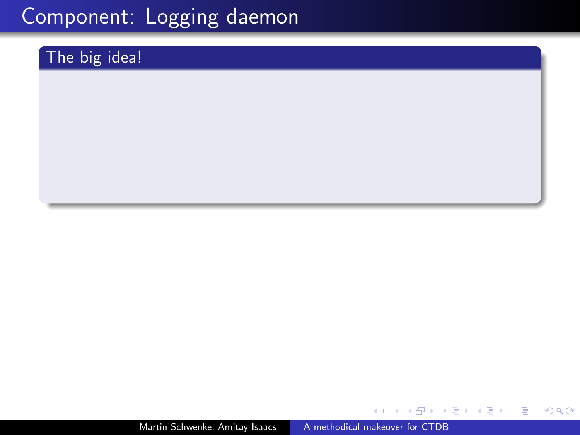### The big idea!

Martin Schwenke, Amitay Isaacs [A methodical makeover for CTDB](#page-0-0)

 $\leftarrow$ 

 $\mathbf{h}$ 

- 大唐 8 - 大唐 8

目

 $299$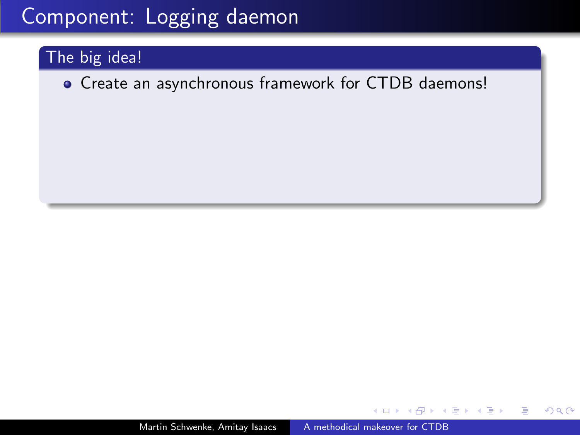### The big idea!

Create an asynchronous framework for CTDB daemons!

 $QQ$ 

э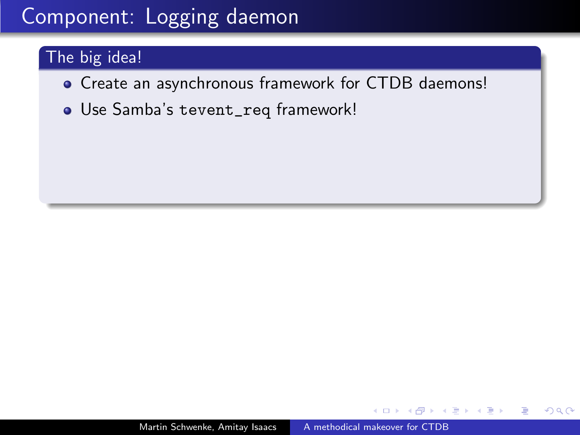### The big idea!

- Create an asynchronous framework for CTDB daemons!
- Use Samba's tevent\_req framework!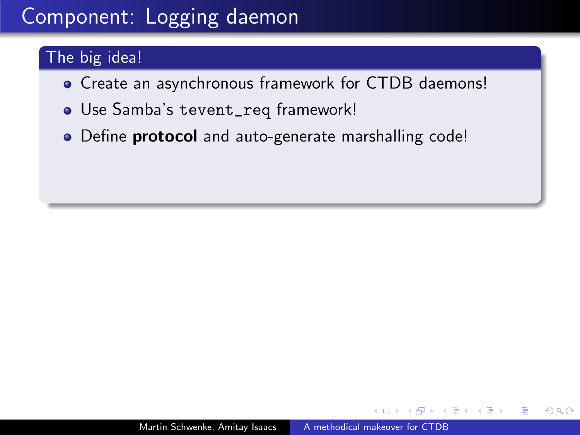### The big idea!

- Create an asynchronous framework for CTDB daemons!
- Use Samba's tevent\_req framework!
- Define **protocol** and auto-generate marshalling code!

 $200$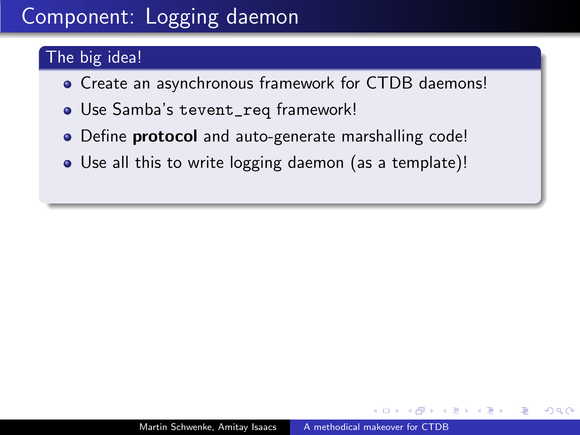### The big idea!

- Create an asynchronous framework for CTDB daemons!
- Use Samba's tevent\_req framework!
- Define **protocol** and auto-generate marshalling code!
- Use all this to write logging daemon (as a template)!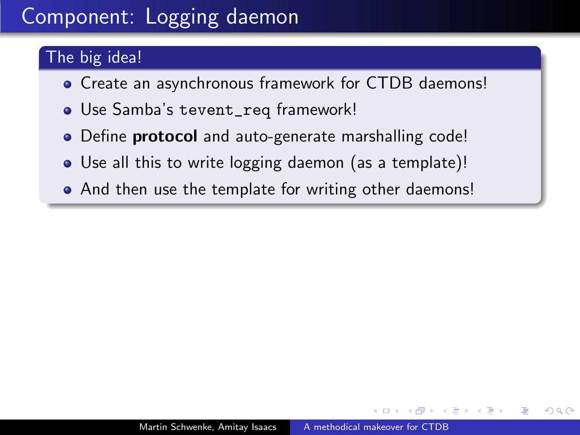### The big idea!

- Create an asynchronous framework for CTDB daemons!
- Use Samba's tevent\_req framework!
- Define **protocol** and auto-generate marshalling code!
- Use all this to write logging daemon (as a template)!
- And then use the template for writing other daemons!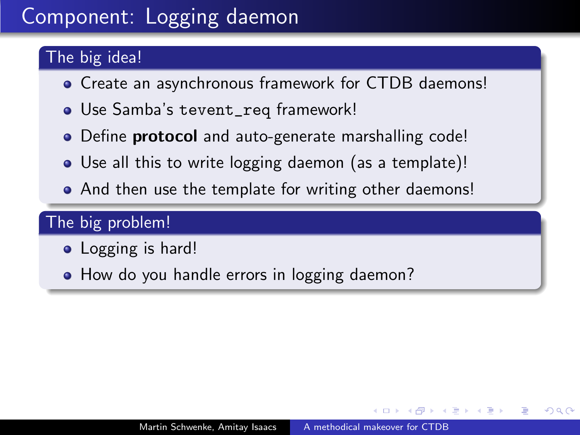### The big idea!

- Create an asynchronous framework for CTDB daemons!
- Use Samba's tevent\_req framework!
- Define **protocol** and auto-generate marshalling code!
- Use all this to write logging daemon (as a template)!
- And then use the template for writing other daemons!

### The big problem!

- Logging is hard!
- How do you handle errors in logging daemon?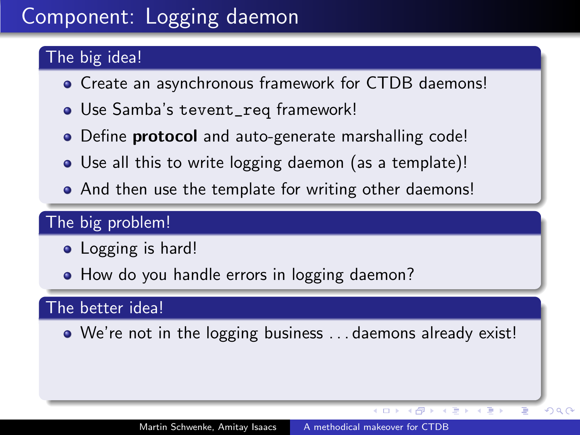### The big idea!

- Create an asynchronous framework for CTDB daemons!
- Use Samba's tevent\_req framework!
- Define **protocol** and auto-generate marshalling code!
- Use all this to write logging daemon (as a template)!
- And then use the template for writing other daemons!

### The big problem!

- Logging is hard!
- How do you handle errors in logging daemon?

### The better idea!

We're not in the logging business . . . daemons already exist!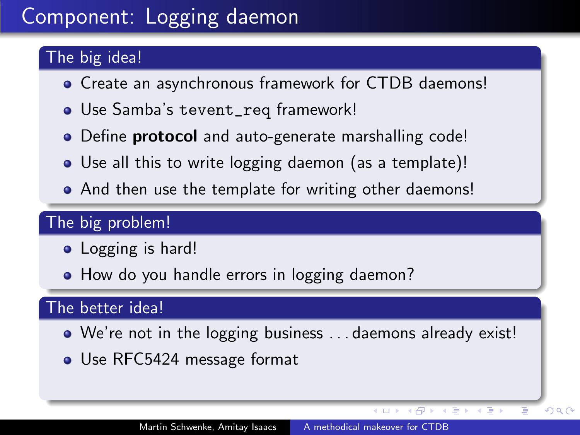### The big idea!

- Create an asynchronous framework for CTDB daemons!
- Use Samba's tevent\_req framework!
- Define **protocol** and auto-generate marshalling code!
- Use all this to write logging daemon (as a template)!
- And then use the template for writing other daemons!

### The big problem!

- Logging is hard!
- How do you handle errors in logging daemon?

### The better idea!

- We're not in the logging business . . . daemons already exist!
- Use RFC5424 message format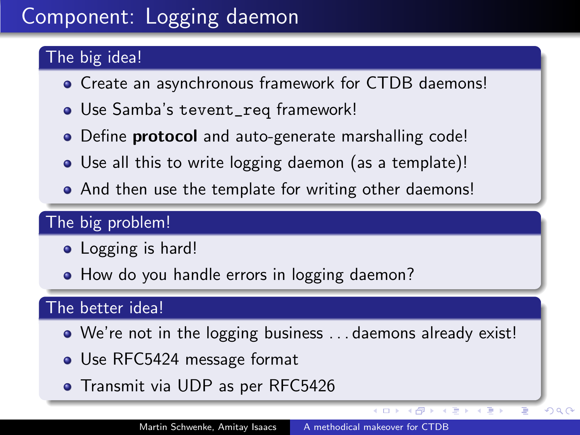### The big idea!

- Create an asynchronous framework for CTDB daemons!
- Use Samba's tevent\_req framework!
- Define **protocol** and auto-generate marshalling code!
- Use all this to write logging daemon (as a template)!
- And then use the template for writing other daemons!

### The big problem!

- Logging is hard!
- How do you handle errors in logging daemon?

### The better idea!

- We're not in the logging business . . . daemons already exist!
- Use RFC5424 message format
- **•** Transmit via UDP as per RFC5426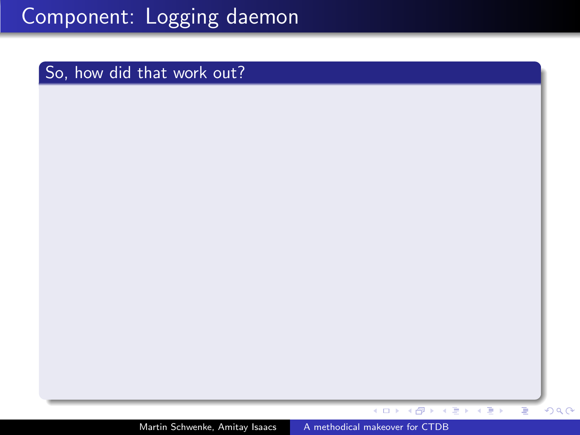#### So, how did that work out?

Martin Schwenke, Amitay Isaacs [A methodical makeover for CTDB](#page-0-0)

 $\leftarrow$ 

 $\,$   $\,$ 

メタメ メミメ メミメー

Έ

 $299$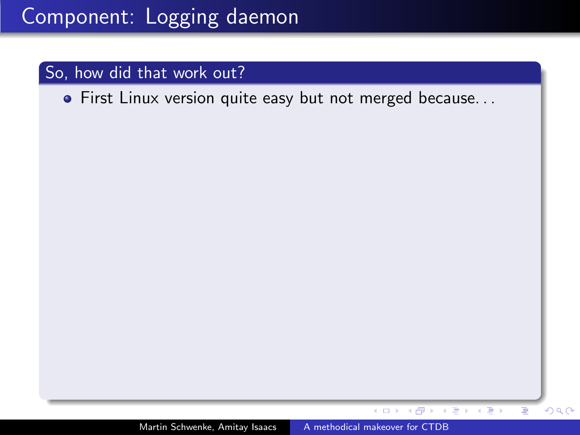#### So, how did that work out?

**•** First Linux version quite easy but not merged because...

医单位性骨折

 $4.17$ 

∢母  $\sim$  Ξ

 $299$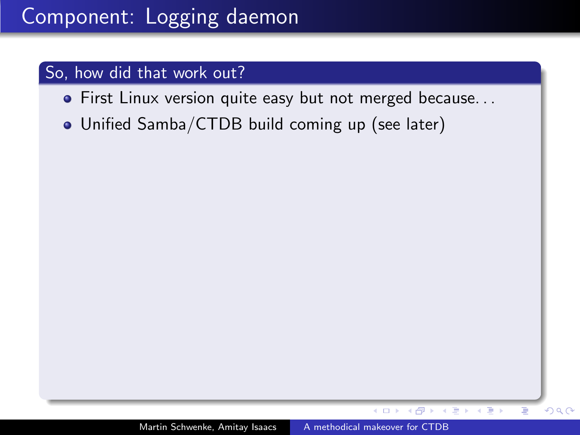#### So, how did that work out?

- **•** First Linux version quite easy but not merged because...
- Unified Samba/CTDB build coming up (see later)

 $\sim$   $\sim$ 

重き メラチ

Þ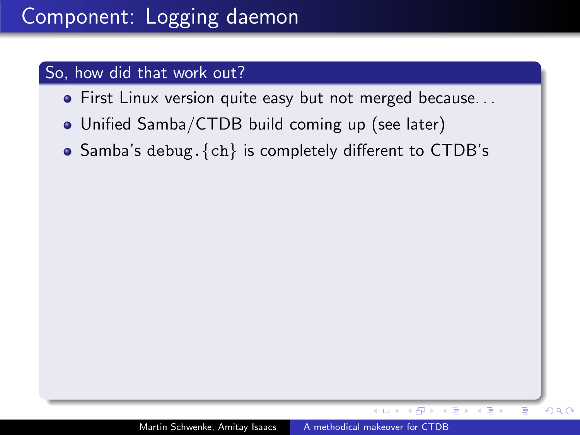#### So, how did that work out?

- First Linux version quite easy but not merged because. . .
- Unified Samba/CTDB build coming up (see later)
- Samba's debug.  $\{ch\}$  is completely different to CTDB's

 $QQ$ 

ミメスミメ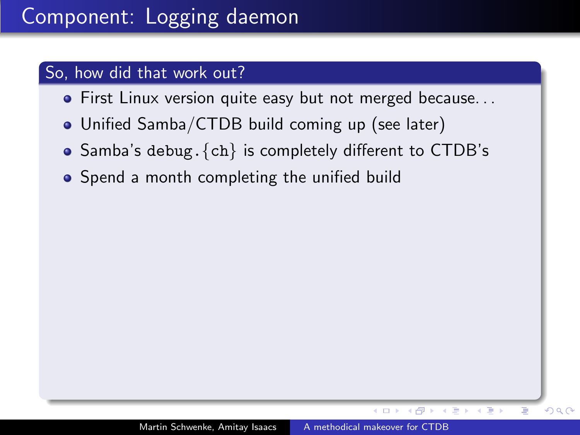- First Linux version quite easy but not merged because. . .
- Unified Samba/CTDB build coming up (see later)
- $\bullet$  Samba's debug.  $\{ch\}$  is completely different to CTDB's
- Spend a month completing the unified build

 $QQ$ 

モミド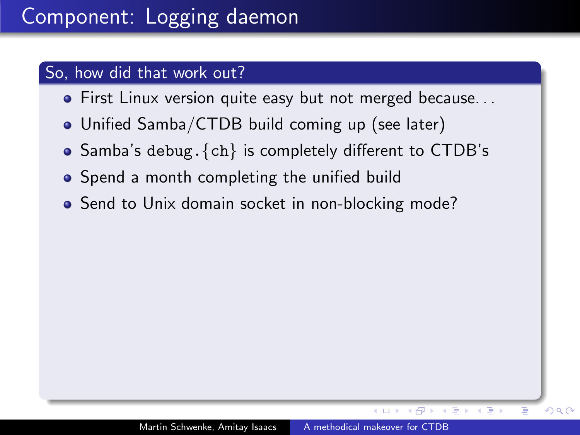- First Linux version quite easy but not merged because. . .
- Unified Samba/CTDB build coming up (see later)
- $\bullet$  Samba's debug.  $\{ch\}$  is completely different to CTDB's
- Spend a month completing the unified build
- Send to Unix domain socket in non-blocking mode?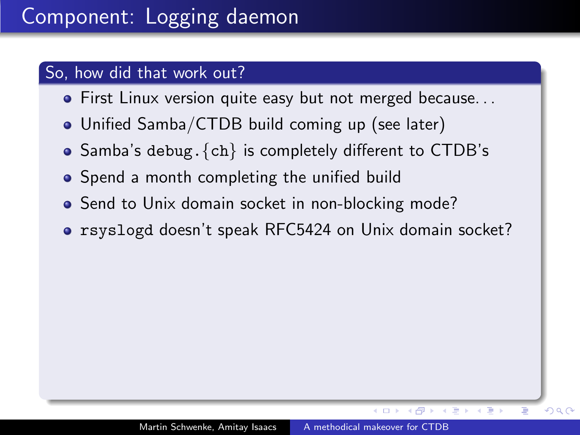- First Linux version quite easy but not merged because. . .
- Unified Samba/CTDB build coming up (see later)
- $\bullet$  Samba's debug.  $\{ch\}$  is completely different to CTDB's
- Spend a month completing the unified build
- Send to Unix domain socket in non-blocking mode?
- rsyslogd doesn't speak RFC5424 on Unix domain socket?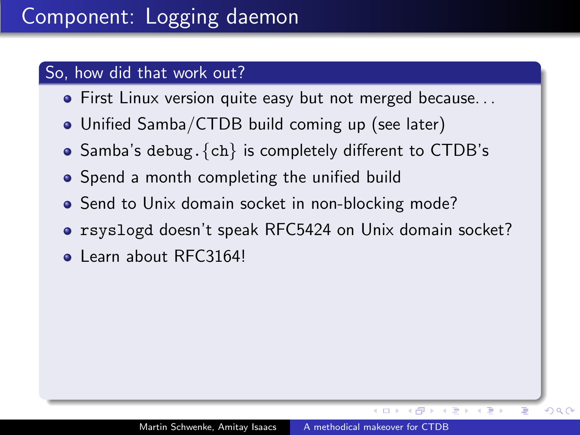- **•** First Linux version quite easy but not merged because...
- Unified Samba/CTDB build coming up (see later)
- $\bullet$  Samba's debug.  $\{ch\}$  is completely different to CTDB's
- Spend a month completing the unified build
- Send to Unix domain socket in non-blocking mode?
- rsyslogd doesn't speak RFC5424 on Unix domain socket?
- Learn about RFC3164!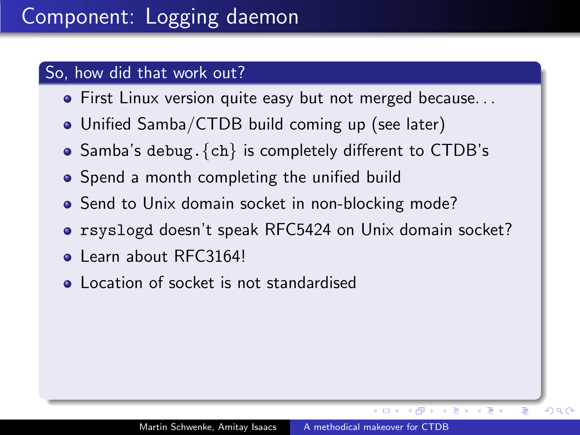- **•** First Linux version quite easy but not merged because...
- Unified Samba/CTDB build coming up (see later)
- $\bullet$  Samba's debug.  $\{ch\}$  is completely different to CTDB's
- Spend a month completing the unified build
- Send to Unix domain socket in non-blocking mode?
- rsyslogd doesn't speak RFC5424 on Unix domain socket?
- Learn about RFC3164!
- **Location of socket is not standardised**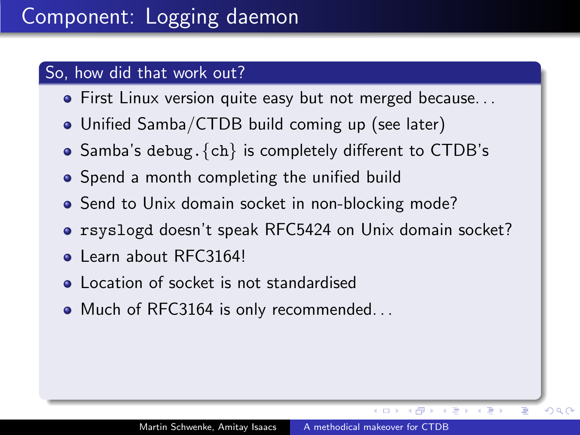- **•** First Linux version quite easy but not merged because...
- Unified Samba/CTDB build coming up (see later)
- $\bullet$  Samba's debug.  $\{ch\}$  is completely different to CTDB's
- Spend a month completing the unified build
- Send to Unix domain socket in non-blocking mode?
- rsyslogd doesn't speak RFC5424 on Unix domain socket?
- Learn about RFC3164!
- **•** Location of socket is not standardised
- Much of RFC3164 is only recommended...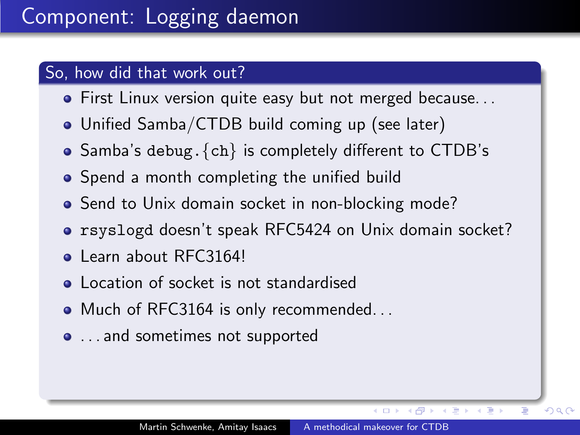- **•** First Linux version quite easy but not merged because...
- Unified Samba/CTDB build coming up (see later)
- $\bullet$  Samba's debug.  $\{ch\}$  is completely different to CTDB's
- Spend a month completing the unified build
- Send to Unix domain socket in non-blocking mode?
- rsyslogd doesn't speak RFC5424 on Unix domain socket?
- Learn about RFC3164!
- **•** Location of socket is not standardised
- Much of RFC3164 is only recommended...
- ... and sometimes not supported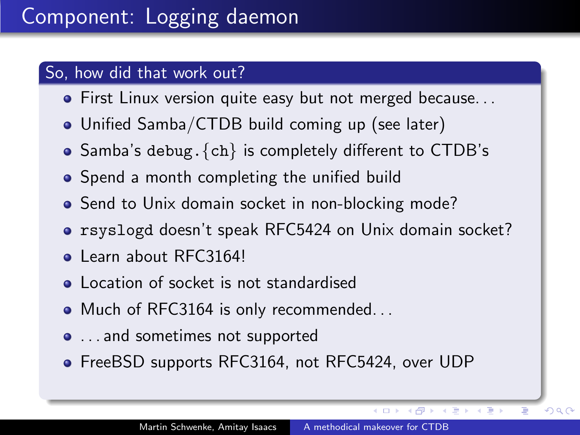- **•** First Linux version quite easy but not merged because...
- Unified Samba/CTDB build coming up (see later)
- $\bullet$  Samba's debug.  $\{ch\}$  is completely different to CTDB's
- Spend a month completing the unified build
- Send to Unix domain socket in non-blocking mode?
- rsyslogd doesn't speak RFC5424 on Unix domain socket?
- Learn about RFC3164!
- **Location of socket is not standardised**
- Much of RFC3164 is only recommended...
- ... and sometimes not supported
- FreeBSD supports RFC3164, not RFC5424, over UDP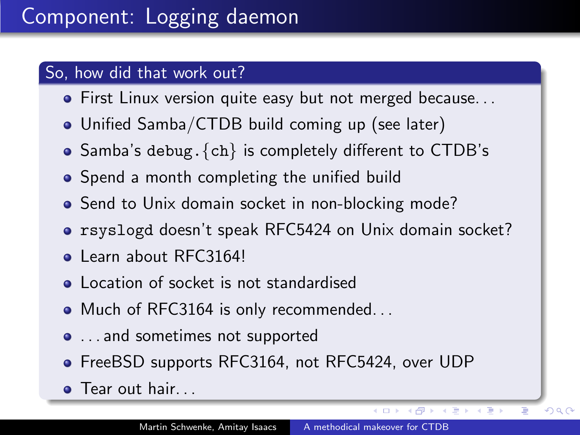- **•** First Linux version quite easy but not merged because...
- Unified Samba/CTDB build coming up (see later)
- $\bullet$  Samba's debug.  $\{ch\}$  is completely different to CTDB's
- Spend a month completing the unified build
- Send to Unix domain socket in non-blocking mode?
- rsyslogd doesn't speak RFC5424 on Unix domain socket?
- Learn about RFC3164!
- Location of socket is not standardised
- Much of RFC3164 is only recommended...
- ... and sometimes not supported
- FreeBSD supports RFC3164, not RFC5424, over UDP
- **•** Tear out hair...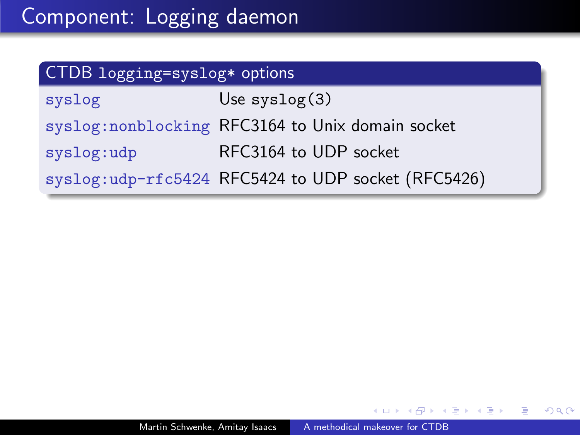| CTDB logging=syslog* options |                                                    |  |
|------------------------------|----------------------------------------------------|--|
| syslog                       | Use $syslog(3)$                                    |  |
|                              | syslog: nonblocking RFC3164 to Unix domain socket  |  |
| syslog:udp                   | RFC3164 to UDP socket                              |  |
|                              | syslog:udp-rfc5424 RFC5424 to UDP socket (RFC5426) |  |

 $\Box$ 

Þ

э

э  $\sim$ 

Пb.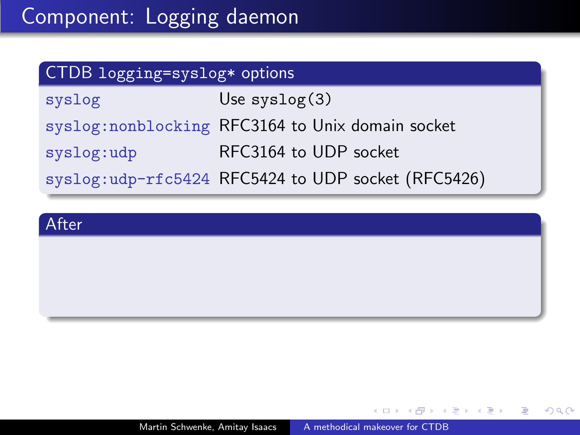# CTDB logging=syslog\* options syslog Use syslog(3) syslog:nonblocking RFC3164 to Unix domain socket syslog:udp RFC3164 to UDP socket syslog:udp-rfc5424 RFC5424 to UDP socket (RFC5426)

#### After

化重复 化重变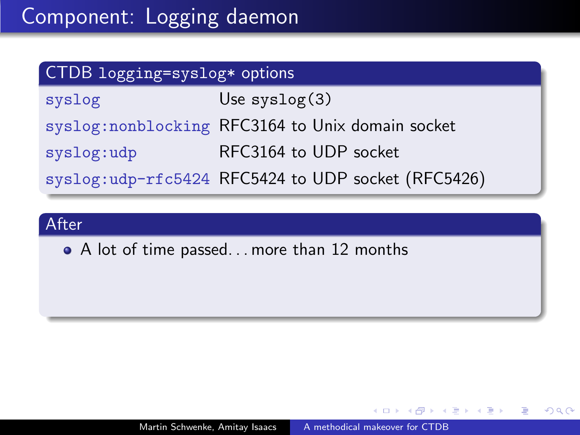| CTDB logging=syslog* options |                                                    |  |
|------------------------------|----------------------------------------------------|--|
| syslog                       | Use $syslog(3)$                                    |  |
|                              | syslog: nonblocking RFC3164 to Unix domain socket  |  |
| syslog:udp                   | RFC3164 to UDP socket                              |  |
|                              | syslog:udp-rfc5424 RFC5424 to UDP socket (RFC5426) |  |

• A lot of time passed... more than 12 months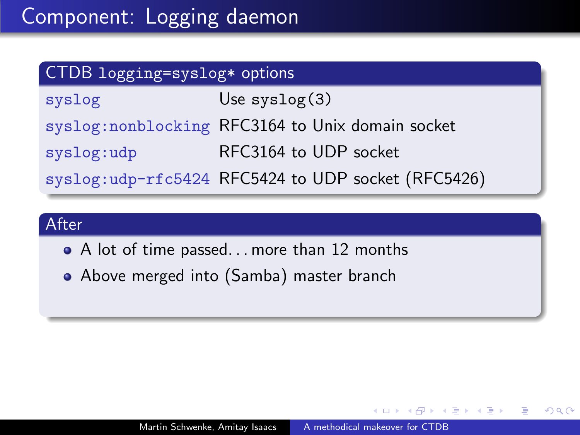| CTDB logging=syslog* options |                                                    |  |
|------------------------------|----------------------------------------------------|--|
| syslog                       | Use $syslog(3)$                                    |  |
|                              | syslog: nonblocking RFC3164 to Unix domain socket  |  |
| syslog:udp                   | RFC3164 to UDP socket                              |  |
|                              | syslog:udp-rfc5424 RFC5424 to UDP socket (RFC5426) |  |

- A lot of time passed. . . more than 12 months
- Above merged into (Samba) master branch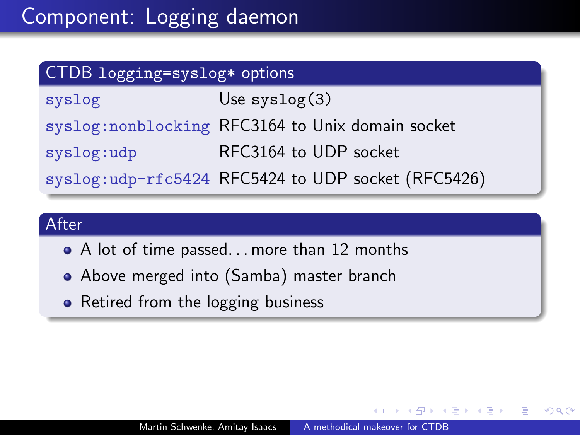| CTDB logging=syslog* options |                                                    |  |
|------------------------------|----------------------------------------------------|--|
| syslog                       | Use $syslog(3)$                                    |  |
|                              | syslog: nonblocking RFC3164 to Unix domain socket  |  |
| syslog:udp                   | RFC3164 to UDP socket                              |  |
|                              | syslog:udp-rfc5424 RFC5424 to UDP socket (RFC5426) |  |

- A lot of time passed. . . more than 12 months
- Above merged into (Samba) master branch
- Retired from the logging business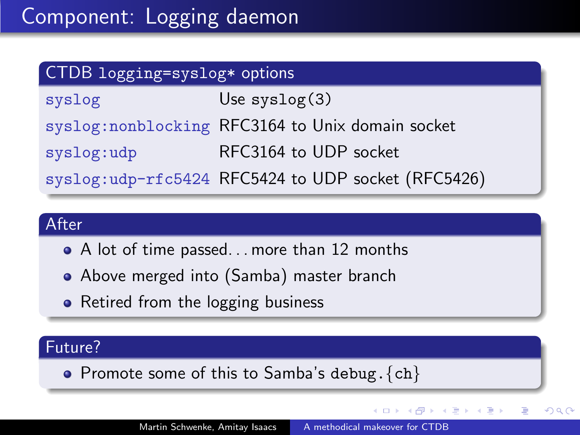| CTDB logging=syslog* options |                                                    |  |
|------------------------------|----------------------------------------------------|--|
| syslog                       | Use $syslog(3)$                                    |  |
|                              | syslog: nonblocking RFC3164 to Unix domain socket  |  |
| syslog:udp                   | RFC3164 to UDP socket                              |  |
|                              | syslog:udp-rfc5424 RFC5424 to UDP socket (RFC5426) |  |

- A lot of time passed... more than 12 months
- Above merged into (Samba) master branch
- Retired from the logging business

### Future?

• Promote some of this to Samba's debug.  $\{ch\}$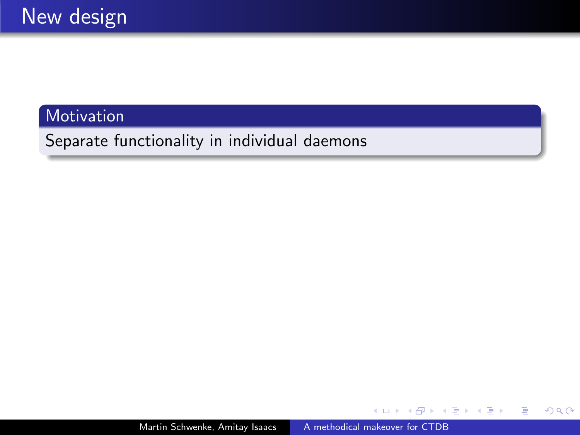**Motivation** 

Separate functionality in individual daemons

a.  $\Box$  Þ

**Bikit** 重き

 $\sim$ ×.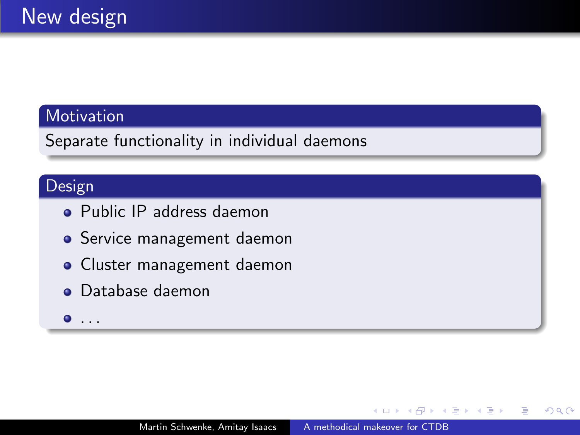### Motivation

Separate functionality in individual daemons

## Design

- Public IP address daemon
- **•** Service management daemon
- Cluster management daemon
- **o** Database daemon
- $\bullet$  . . .

э  $\sim$ 性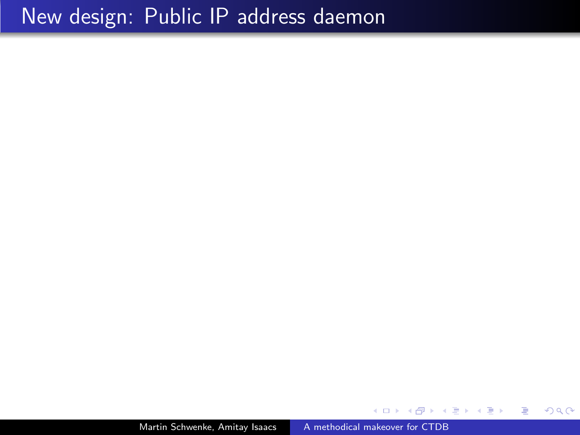Martin Schwenke, Amitay Isaacs [A methodical makeover for CTDB](#page-0-0)

 $299$ 

目

すぎわ すぎわ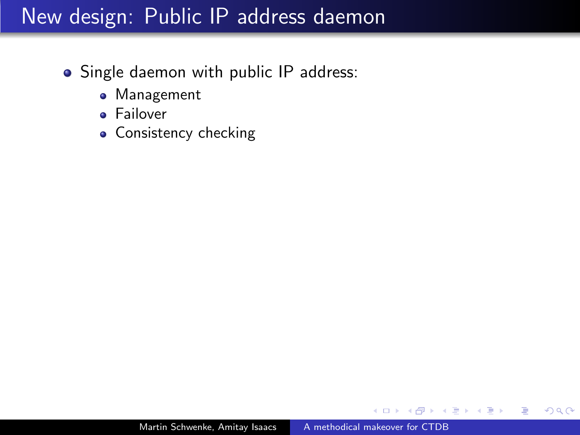- Single daemon with public IP address:
	- Management
	- **•** Failover
	- Consistency checking

ヨメ イヨメ

 $\Omega$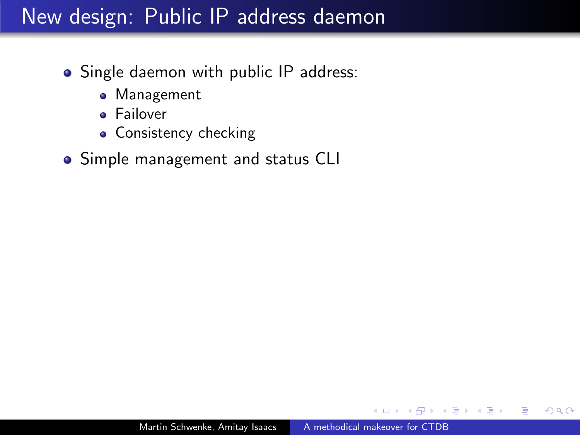- Single daemon with public IP address:
	- Management
	- **•** Failover
	- Consistency checking
- Simple management and status CLI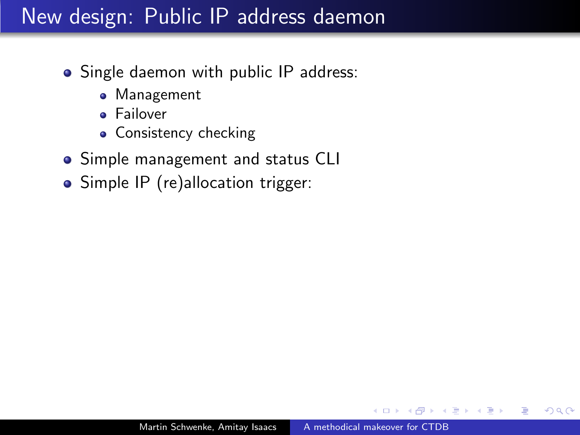- Single daemon with public IP address:
	- Management
	- **•** Failover
	- Consistency checking
- Simple management and status CLI
- Simple IP (re)allocation trigger: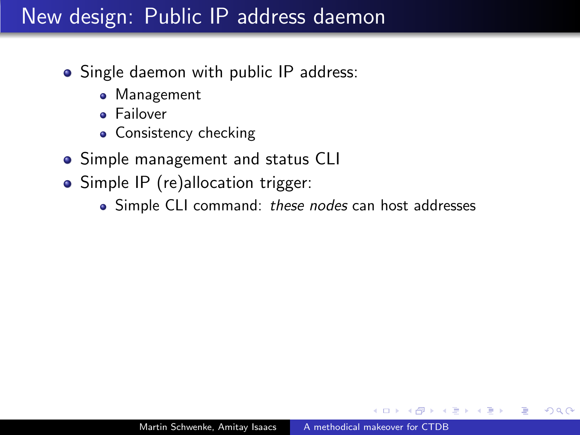- Single daemon with public IP address:
	- Management
	- **•** Failover
	- Consistency checking
- Simple management and status CLI
- Simple IP (re)allocation trigger:
	- Simple CLI command: these nodes can host addresses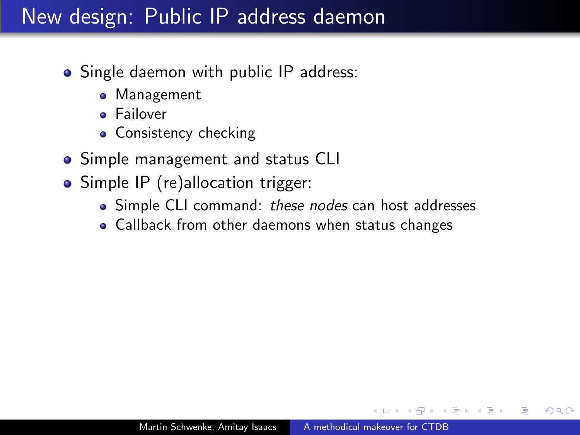- Single daemon with public IP address:
	- Management
	- **•** Failover
	- Consistency checking
- Simple management and status CLI
- Simple IP (re)allocation trigger:
	- Simple CLI command: these nodes can host addresses
	- Callback from other daemons when status changes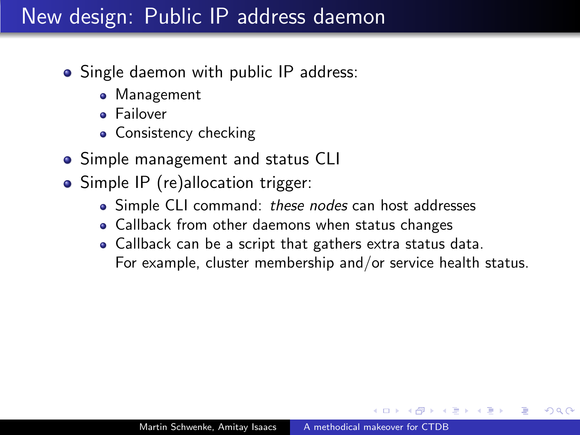- Single daemon with public IP address:
	- Management
	- **•** Failover
	- Consistency checking
- Simple management and status CLI
- Simple IP (re)allocation trigger:
	- Simple CLI command: these nodes can host addresses
	- Callback from other daemons when status changes
	- Callback can be a script that gathers extra status data. For example, cluster membership and/or service health status.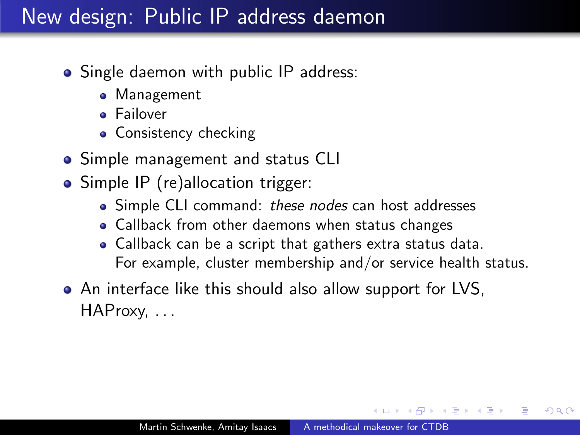- Single daemon with public IP address:
	- Management
	- **•** Failover
	- Consistency checking
- Simple management and status CLI
- Simple IP (re)allocation trigger:
	- Simple CLI command: these nodes can host addresses
	- Callback from other daemons when status changes
	- Callback can be a script that gathers extra status data. For example, cluster membership and/or service health status.
- An interface like this should also allow support for LVS, HAProxy, . . .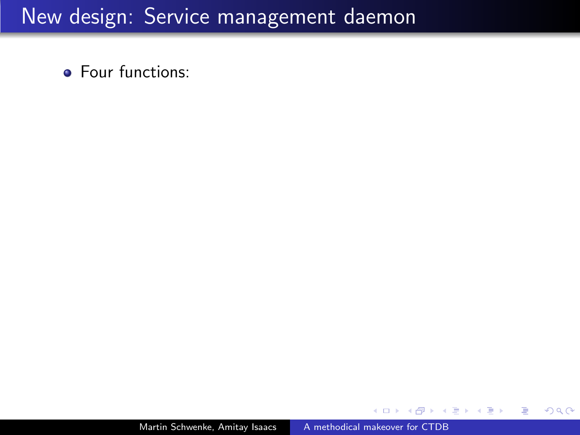**•** Four functions:

 $299$ 

重

**SIL** 

ヨト э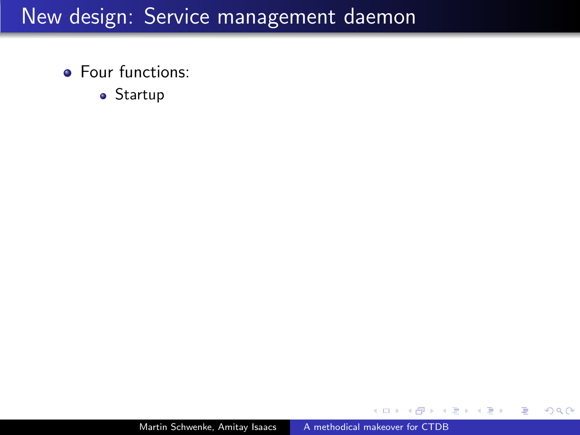- **•** Four functions:
	- Startup

 $299$ 

э

 $\sim$ 

ヨト э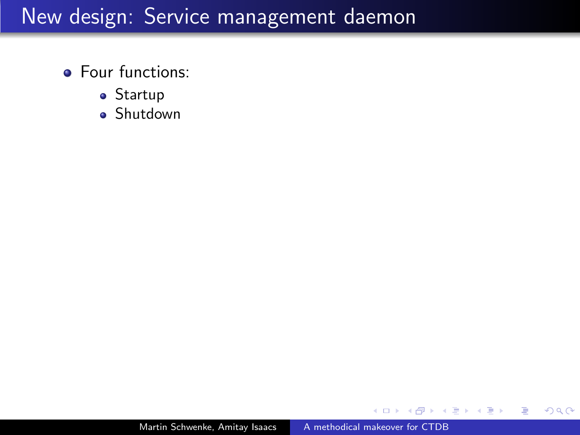- **•** Four functions:
	- Startup
	- Shutdown

 $299$ 

э

重

**SIL** 

モミド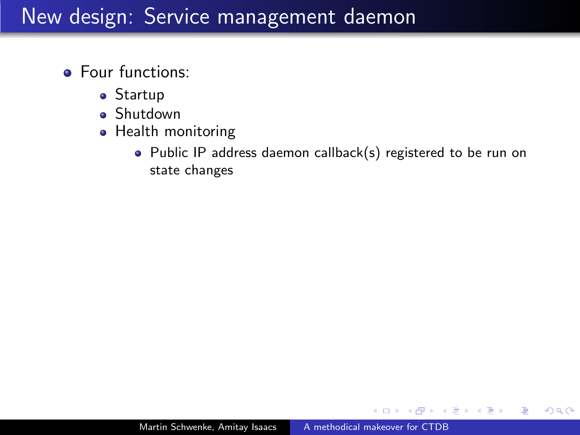- **•** Four functions:
	- Startup
	- Shutdown
	- Health monitoring
		- Public IP address daemon callback(s) registered to be run on state changes

一 4 三 下

 $\Omega$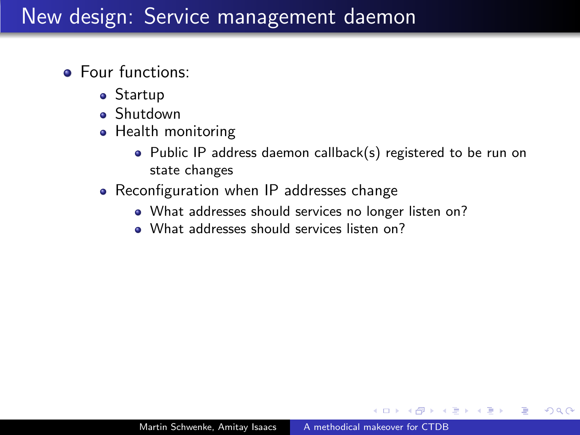- Four functions:
	- Startup
	- **s** Shutdown
	- Health monitoring
		- Public IP address daemon callback(s) registered to be run on state changes
	- Reconfiguration when IP addresses change
		- What addresses should services no longer listen on?
		- What addresses should services listen on?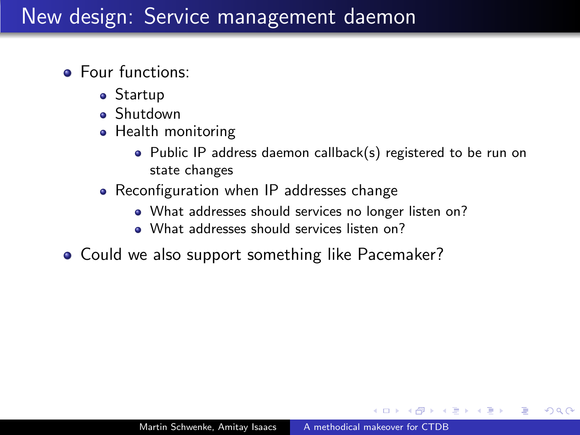- Four functions:
	- Startup
	- **s** Shutdown
	- Health monitoring
		- Public IP address daemon callback(s) registered to be run on state changes
	- Reconfiguration when IP addresses change
		- What addresses should services no longer listen on?
		- What addresses should services listen on?
- Could we also support something like Pacemaker?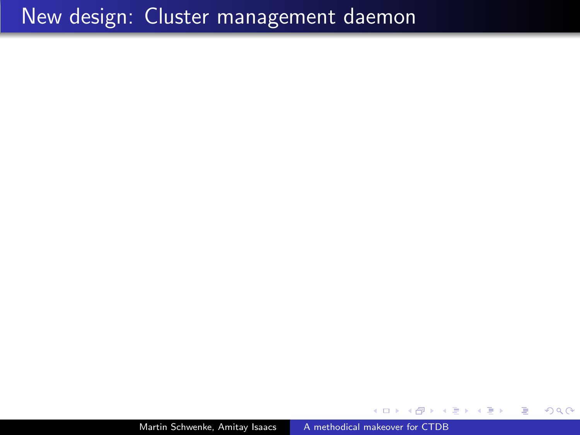## New design: Cluster management daemon

Martin Schwenke, Amitay Isaacs [A methodical makeover for CTDB](#page-0-0)

 $299$ 

モミチ

Э× 目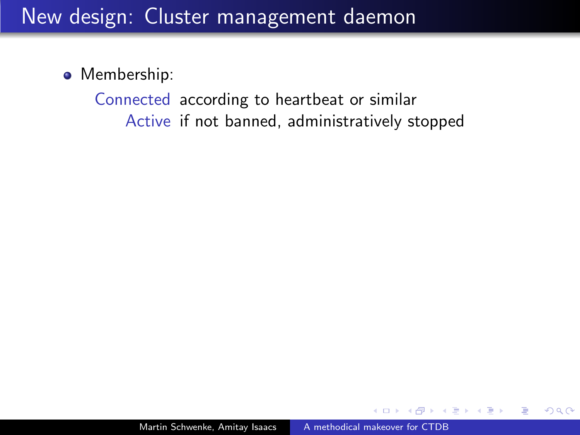### • Membership:

Connected according to heartbeat or similar Active if not banned, administratively stopped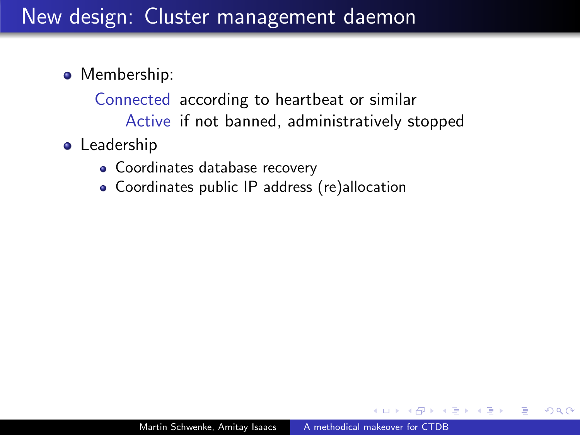- Membership:
	- Connected according to heartbeat or similar Active if not banned, administratively stopped
- **•** Leadership
	- Coordinates database recovery
	- Coordinates public IP address (re)allocation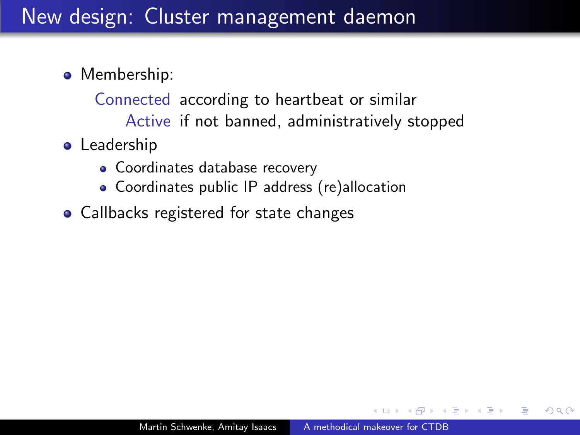- Membership:
	- Connected according to heartbeat or similar Active if not banned, administratively stopped
- **•** Leadership
	- Coordinates database recovery
	- Coordinates public IP address (re)allocation
- Callbacks registered for state changes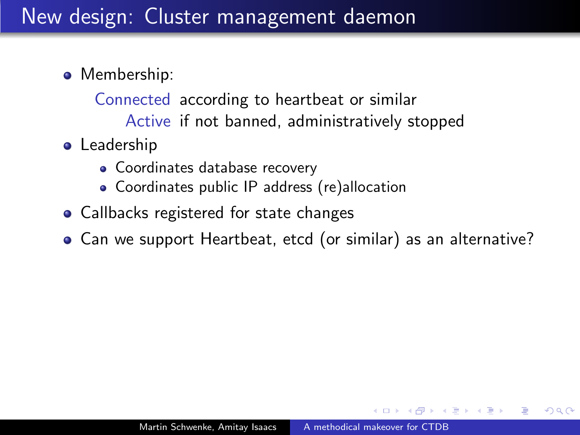- Membership:
	- Connected according to heartbeat or similar Active if not banned, administratively stopped
- **•** Leadership
	- Coordinates database recovery
	- Coordinates public IP address (re)allocation
- Callbacks registered for state changes
- Can we support Heartbeat, etcd (or similar) as an alternative?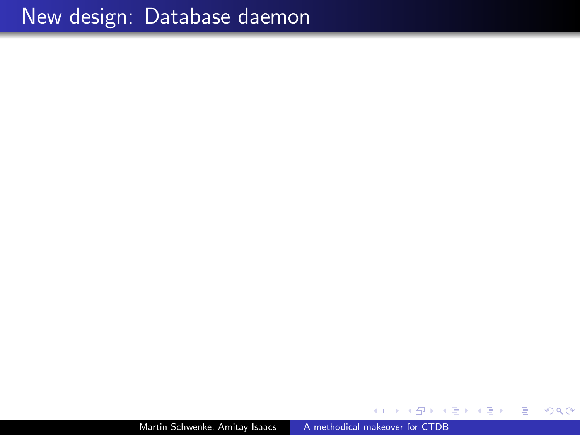Martin Schwenke, Amitay Isaacs [A methodical makeover for CTDB](#page-0-0)

 $299$ 

目  $\rightarrow$ 

K 등 >

э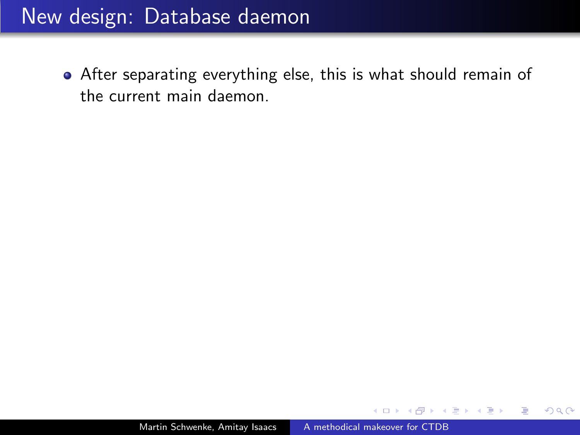# New design: Database daemon

After separating everything else, this is what should remain of the current main daemon.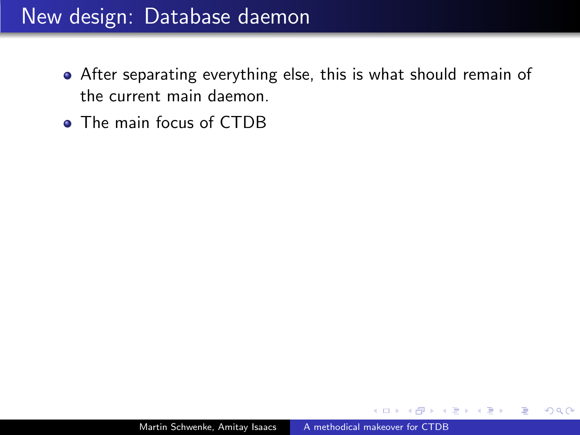# New design: Database daemon

- After separating everything else, this is what should remain of the current main daemon.
- The main focus of CTDB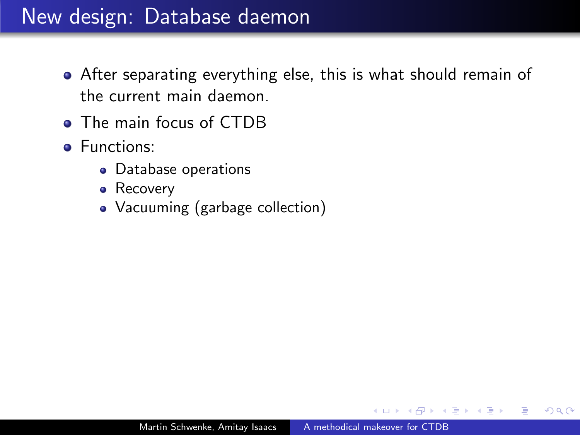# New design: Database daemon

- After separating everything else, this is what should remain of the current main daemon.
- The main focus of CTDB
- **•** Functions:
	- Database operations
	- Recovery
	- Vacuuming (garbage collection)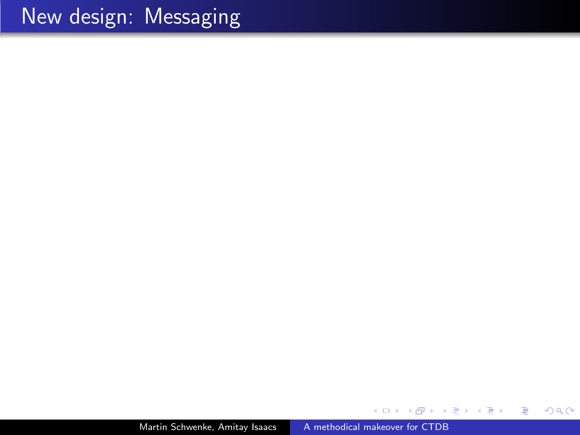Martin Schwenke, Amitay Isaacs [A methodical makeover for CTDB](#page-0-0)

 $\Box$ 

a.

∢ 重

D. × -b

 $\sim$ 

Ε

目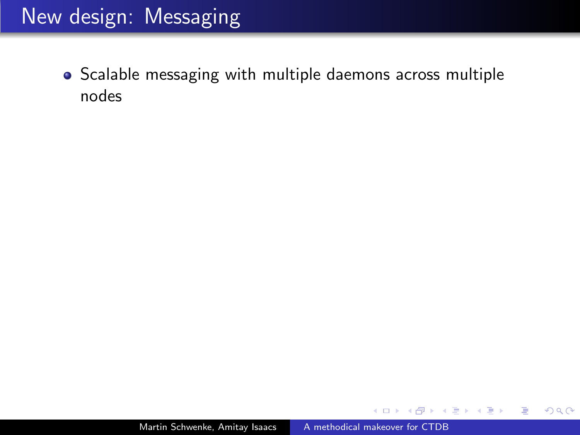Scalable messaging with multiple daemons across multiple nodes

 $299$ 

ヨト э

э  $\rightarrow$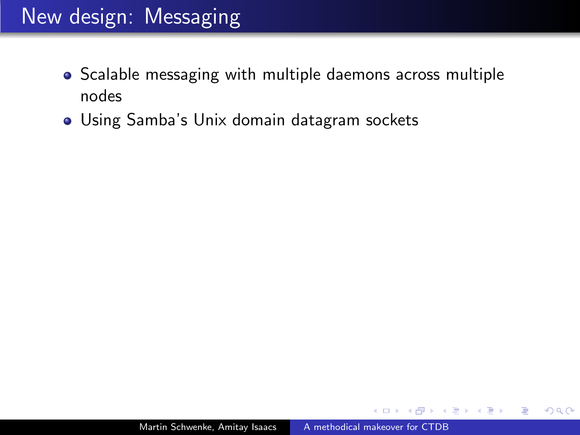- Scalable messaging with multiple daemons across multiple nodes
- Using Samba's Unix domain datagram sockets

 $QQ$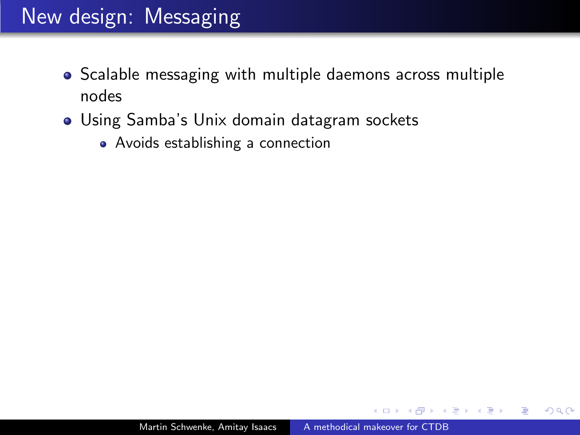- Scalable messaging with multiple daemons across multiple nodes
- Using Samba's Unix domain datagram sockets
	- Avoids establishing a connection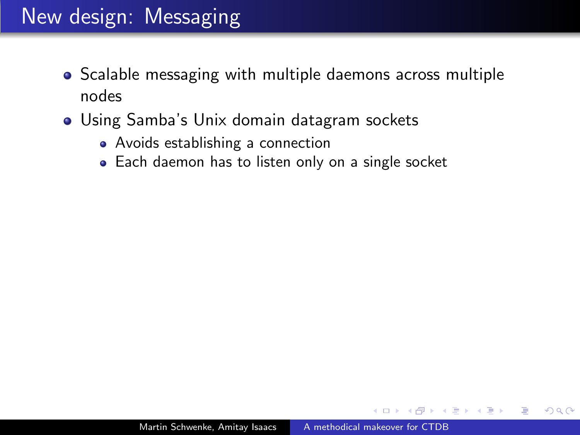- Scalable messaging with multiple daemons across multiple nodes
- Using Samba's Unix domain datagram sockets
	- Avoids establishing a connection
	- Each daemon has to listen only on a single socket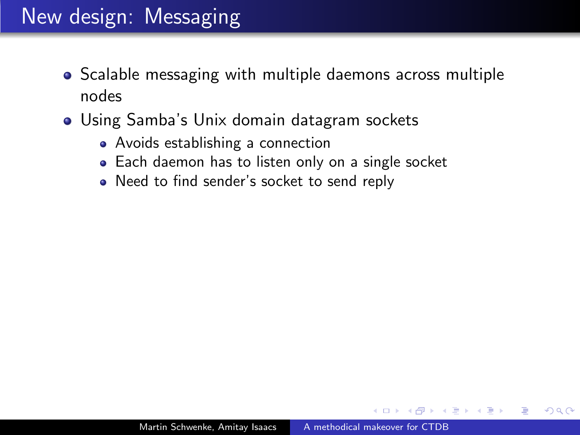- Scalable messaging with multiple daemons across multiple nodes
- Using Samba's Unix domain datagram sockets
	- Avoids establishing a connection
	- Each daemon has to listen only on a single socket
	- Need to find sender's socket to send reply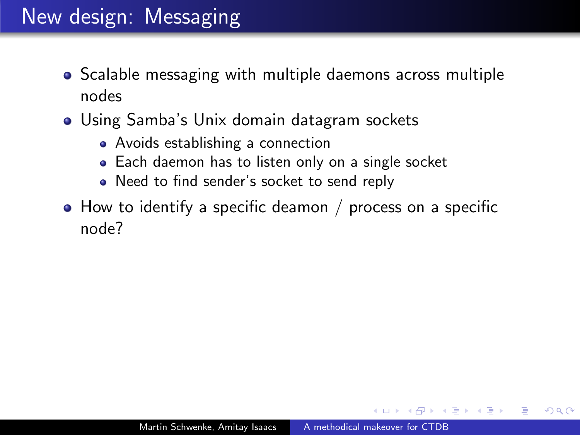- Scalable messaging with multiple daemons across multiple nodes
- Using Samba's Unix domain datagram sockets
	- Avoids establishing a connection
	- Each daemon has to listen only on a single socket
	- Need to find sender's socket to send reply
- How to identify a specific deamon / process on a specific node?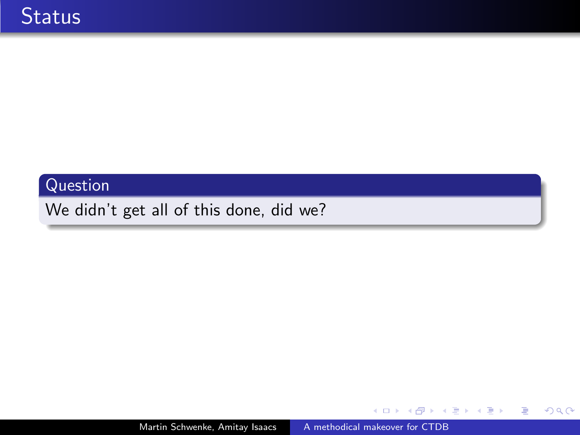#### Question

We didn't get all of this done, did we?

医蛋白 医蛋白

 $\leftarrow$ 

- b a. 同  $\,$  目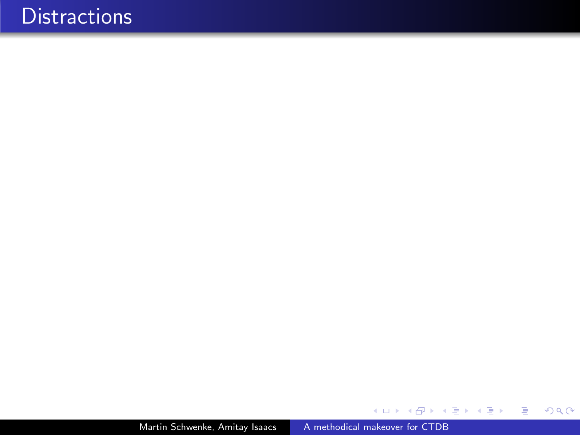Martin Schwenke, Amitay Isaacs [A methodical makeover for CTDB](#page-0-0)

イロト イ部 トメ 君 トメ 君 ト

目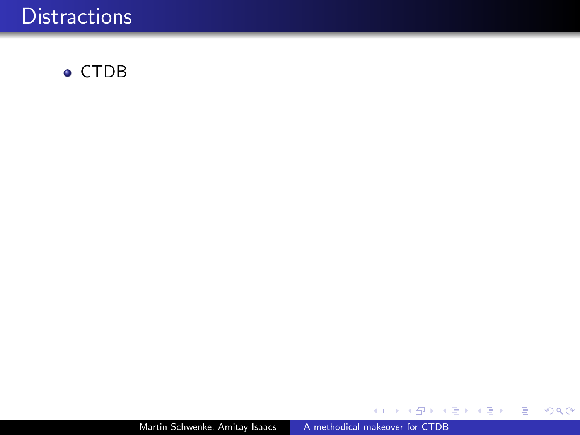

メロメ メ部メ メミメ メミメ

目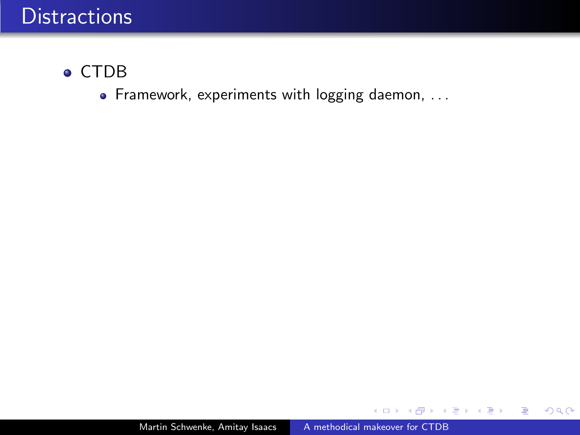#### CTDB

• Framework, experiments with logging daemon, ...

 $\leftarrow$ 

 $\rightarrow$ 

目

御 ▶ すき ▶ すき ▶ ..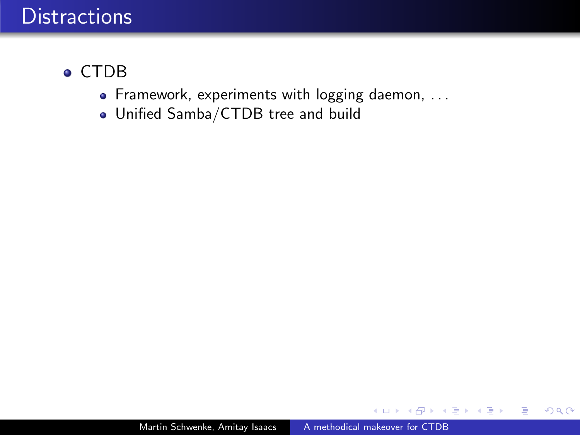#### CTDB

- Framework, experiments with logging daemon, ...
- Unified Samba/CTDB tree and build

 $\leftarrow$ 

 $299$ 

э

- 4 重 8 - 4 重 8

 $\sim$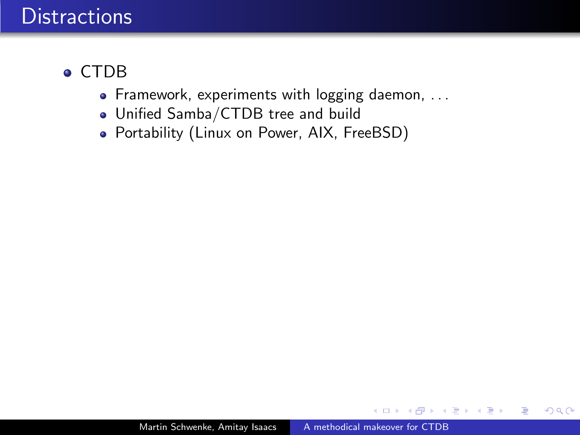#### • CTDB

- Framework, experiments with logging daemon, ...
- Unified Samba/CTDB tree and build
- Portability (Linux on Power, AIX, FreeBSD)

∢ 重 ≯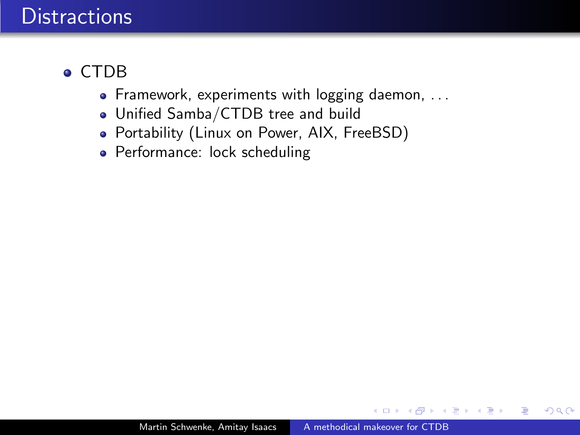#### • CTDB

- Framework, experiments with logging daemon, ...
- Unified Samba/CTDB tree and build
- Portability (Linux on Power, AIX, FreeBSD)
- Performance: lock scheduling

∢ 重 ≯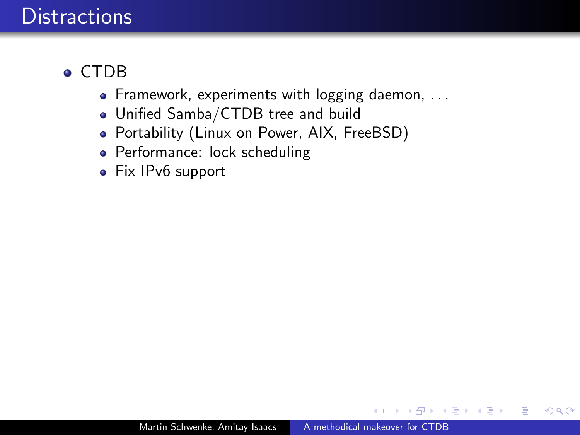#### CTDB

- Framework, experiments with logging daemon, ...
- Unified Samba/CTDB tree and build
- Portability (Linux on Power, AIX, FreeBSD)
- Performance: lock scheduling
- Fix IPv6 support

∢ 重 ≯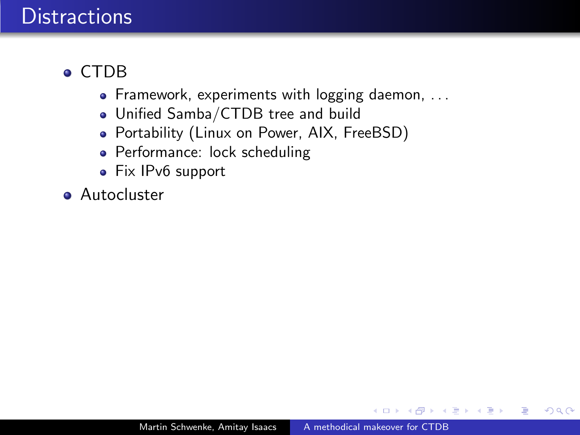#### CTDB

- Framework, experiments with logging daemon, ...
- Unified Samba/CTDB tree and build
- Portability (Linux on Power, AIX, FreeBSD)
- Performance: lock scheduling
- Fix IPv6 support
- **Autocluster**

∢ 重 ≯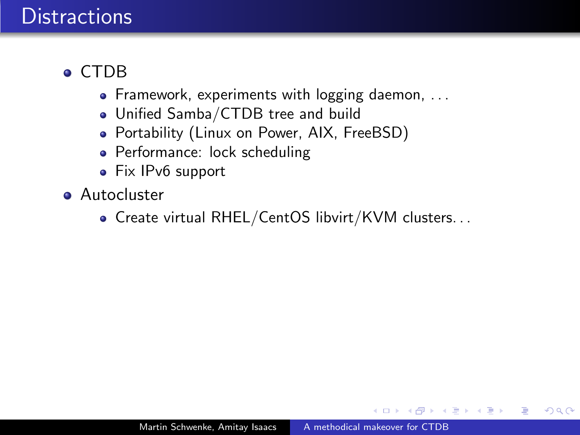### • CTDB

- Framework, experiments with logging daemon, ...
- Unified Samba/CTDB tree and build
- Portability (Linux on Power, AIX, FreeBSD)
- Performance: lock scheduling
- Fix IPv6 support
- **Autocluster** 
	- Create virtual RHEL/CentOS libvirt/KVM clusters. . .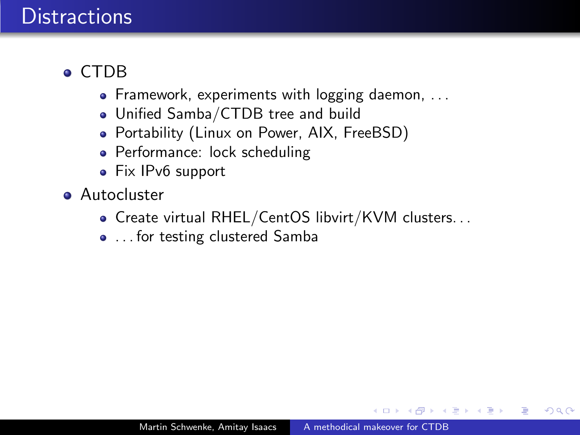#### • CTDB

- Framework, experiments with logging daemon, ...
- Unified Samba/CTDB tree and build
- Portability (Linux on Power, AIX, FreeBSD)
- Performance: lock scheduling
- Fix IPv6 support
- **Autocluster** 
	- Create virtual RHEL/CentOS libvirt/KVM clusters. . .
	- ... for testing clustered Samba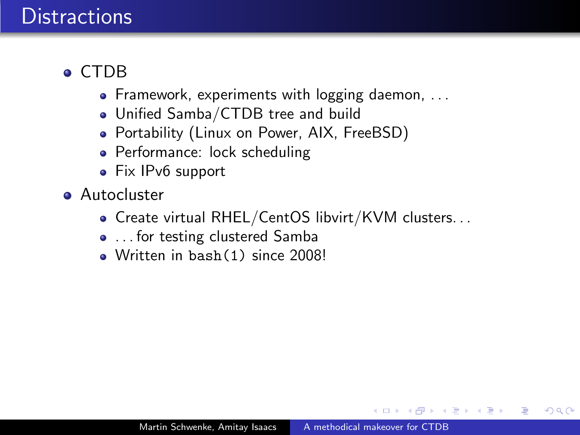#### • CTDB

- Framework, experiments with logging daemon, ...
- Unified Samba/CTDB tree and build
- Portability (Linux on Power, AIX, FreeBSD)
- Performance: lock scheduling
- Fix IPv6 support
- **Autocluster** 
	- Create virtual RHEL/CentOS libvirt/KVM clusters. . .
	- ... for testing clustered Samba
	- Written in bash(1) since 2008!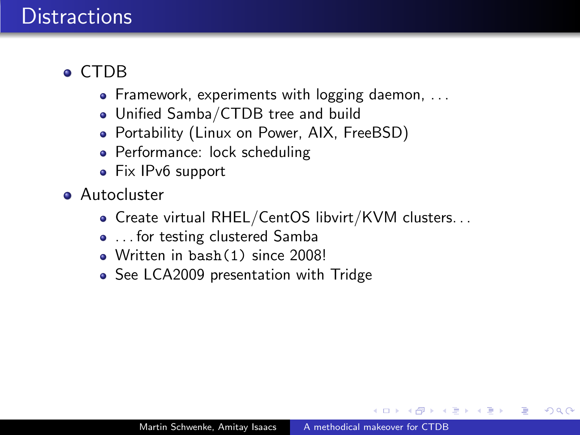#### • CTDB

- Framework, experiments with logging daemon, ...
- Unified Samba/CTDB tree and build
- Portability (Linux on Power, AIX, FreeBSD)
- Performance: lock scheduling
- Fix IPv6 support
- **Autocluster** 
	- Create virtual RHEL/CentOS libvirt/KVM clusters. . .
	- ... for testing clustered Samba
	- Written in bash(1) since 2008!
	- See LCA2009 presentation with Tridge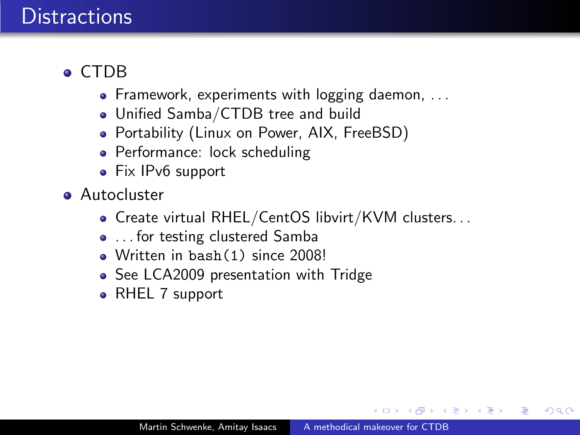### • CTDB

- Framework, experiments with logging daemon, ...
- Unified Samba/CTDB tree and build
- Portability (Linux on Power, AIX, FreeBSD)
- Performance: lock scheduling
- Fix IPv6 support
- **Autocluster** 
	- Create virtual RHEL/CentOS libvirt/KVM clusters. . .
	- ... for testing clustered Samba
	- Written in bash(1) since 2008!
	- See LCA2009 presentation with Tridge
	- RHEL 7 support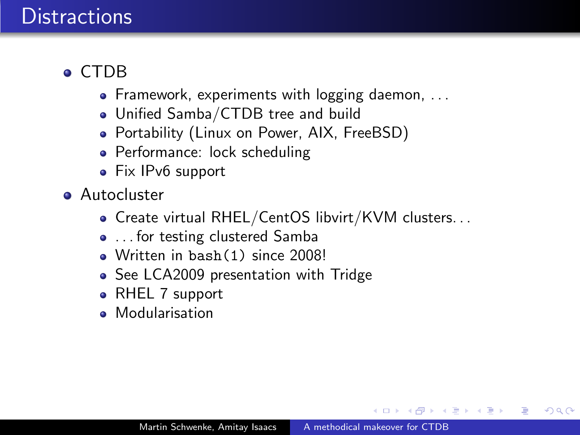### • CTDB

- Framework, experiments with logging daemon, ...
- Unified Samba/CTDB tree and build
- Portability (Linux on Power, AIX, FreeBSD)
- Performance: lock scheduling
- Fix IPv6 support
- **Autocluster** 
	- Create virtual RHEL/CentOS libvirt/KVM clusters. . .
	- ... for testing clustered Samba
	- Written in bash(1) since 2008!
	- See LCA2009 presentation with Tridge
	- RHEL 7 support
	- **Modularisation**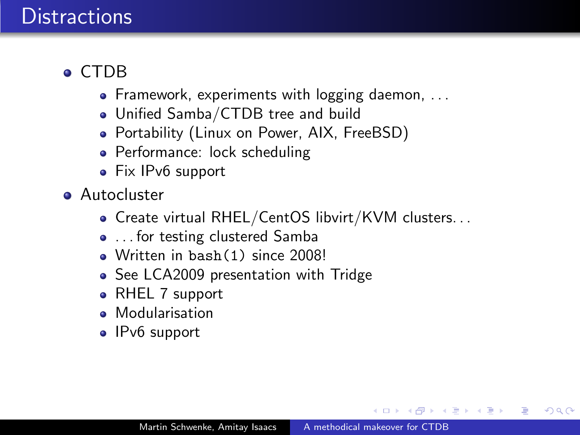### • CTDB

- Framework, experiments with logging daemon, ...
- Unified Samba/CTDB tree and build
- Portability (Linux on Power, AIX, FreeBSD)
- Performance: lock scheduling
- Fix IPv6 support
- **Autocluster** 
	- Create virtual RHEL/CentOS libvirt/KVM clusters. . .
	- ... for testing clustered Samba
	- Written in bash(1) since 2008!
	- See LCA2009 presentation with Tridge
	- RHEL 7 support
	- Modularisation
	- IPv6 support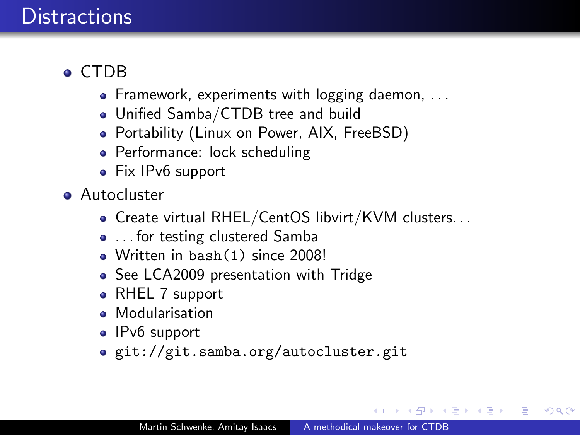### • CTDB

- Framework, experiments with logging daemon, ...
- Unified Samba/CTDB tree and build
- Portability (Linux on Power, AIX, FreeBSD)
- Performance: lock scheduling
- Fix IPv6 support
- **Autocluster** 
	- Create virtual RHEL/CentOS libvirt/KVM clusters. . .
	- ... for testing clustered Samba
	- Written in bash(1) since 2008!
	- See LCA2009 presentation with Tridge
	- RHEL 7 support
	- Modularisation
	- IPv6 support
	- git://git.samba.org/autocluster.git

医单头 化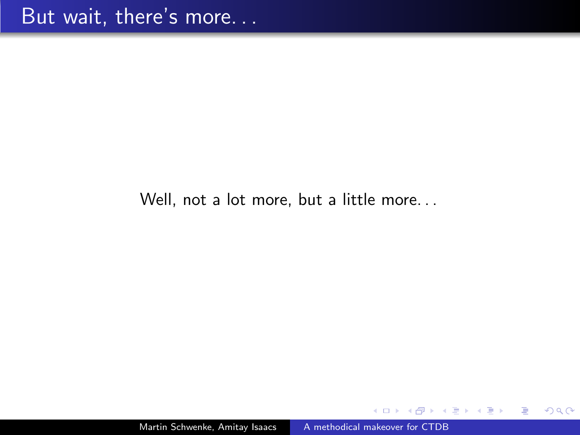Well, not a lot more, but a little more. . .

 $299$ 

∍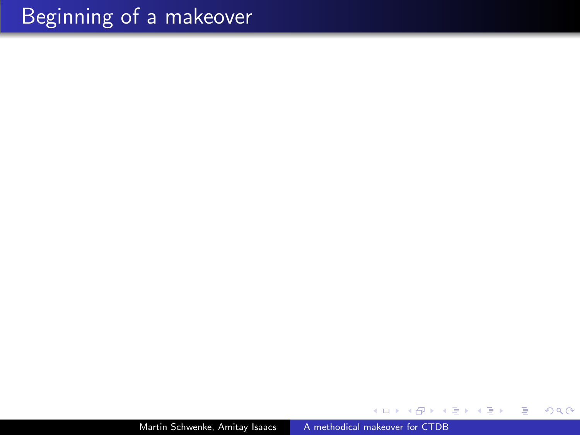Martin Schwenke, Amitay Isaacs [A methodical makeover for CTDB](#page-0-0)

Ε

э

 $\sim$  4. -b

비둘 게

 $\sim$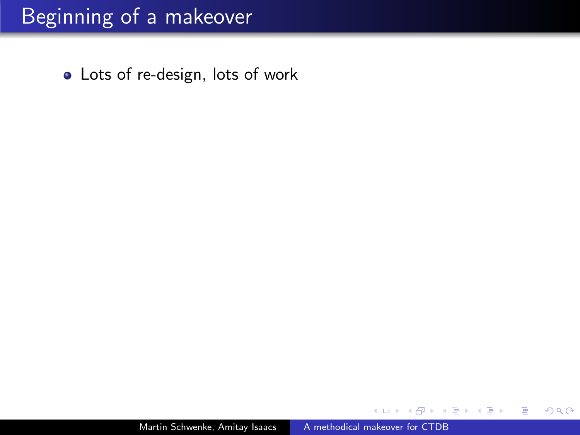Lots of re-design, lots of work

 $299$ 

∍

э

 $\rightarrow$ 

重

 $\rightarrow$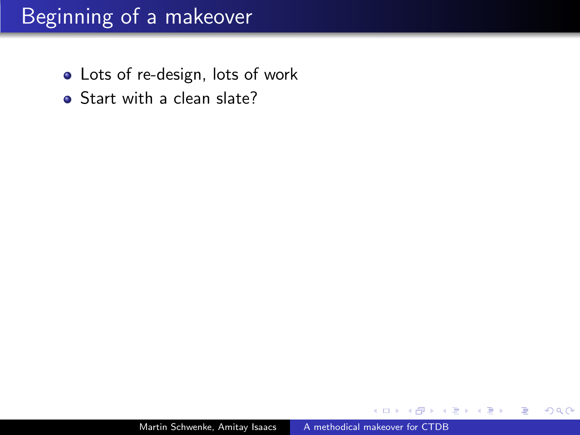- Lots of re-design, lots of work
- Start with a clean slate?

つくへ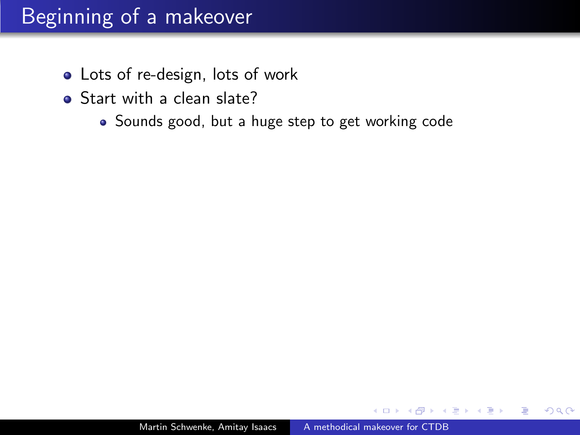- Lots of re-design, lots of work
- Start with a clean slate?
	- Sounds good, but a huge step to get working code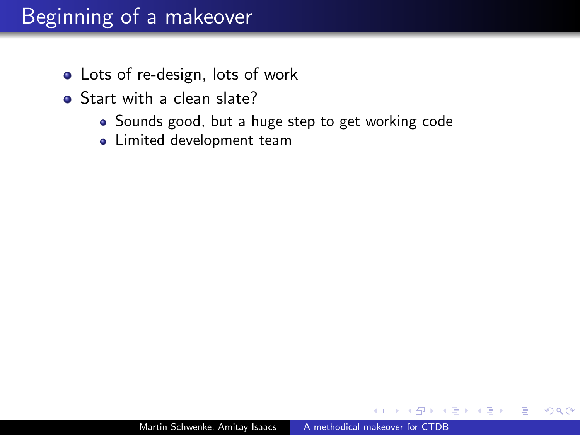- Lots of re-design, lots of work
- Start with a clean slate?
	- Sounds good, but a huge step to get working code
	- **.** Limited development team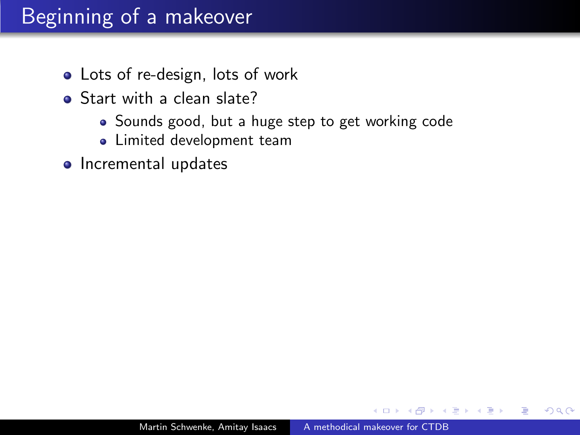- Lots of re-design, lots of work
- Start with a clean slate?
	- Sounds good, but a huge step to get working code
	- **.** Limited development team
- Incremental updates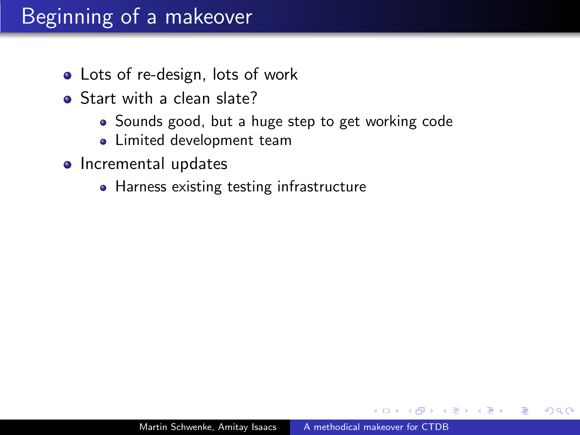- Lots of re-design, lots of work
- Start with a clean slate?
	- Sounds good, but a huge step to get working code
	- **.** Limited development team
- Incremental updates
	- Harness existing testing infrastructure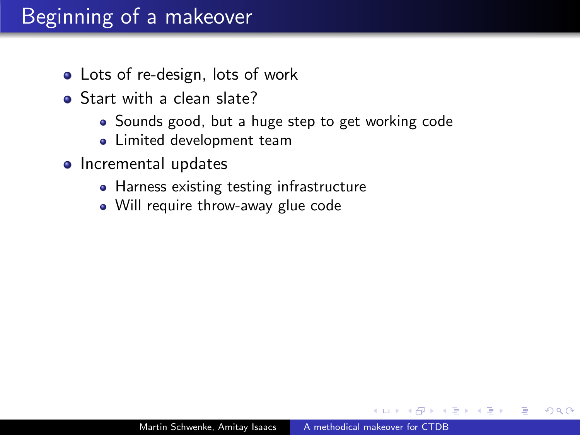# Beginning of a makeover

- Lots of re-design, lots of work
- Start with a clean slate?
	- Sounds good, but a huge step to get working code
	- **.** Limited development team
- Incremental updates
	- Harness existing testing infrastructure
	- Will require throw-away glue code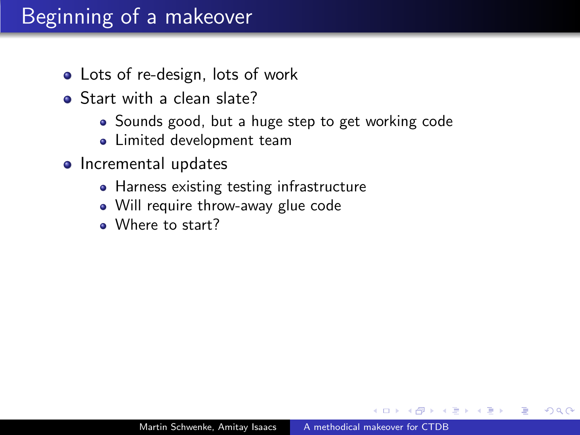# Beginning of a makeover

- Lots of re-design, lots of work
- Start with a clean slate?
	- Sounds good, but a huge step to get working code
	- **.** Limited development team
- o Incremental updates
	- Harness existing testing infrastructure
	- Will require throw-away glue code
	- Where to start?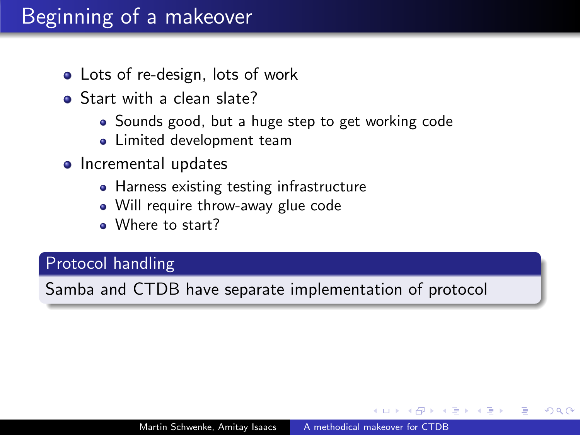# Beginning of a makeover

- Lots of re-design, lots of work
- Start with a clean slate?
	- Sounds good, but a huge step to get working code
	- **.** Limited development team
- Incremental updates
	- Harness existing testing infrastructure
	- Will require throw-away glue code
	- Where to start?

#### Protocol handling

Samba and CTDB have separate implementation of protocol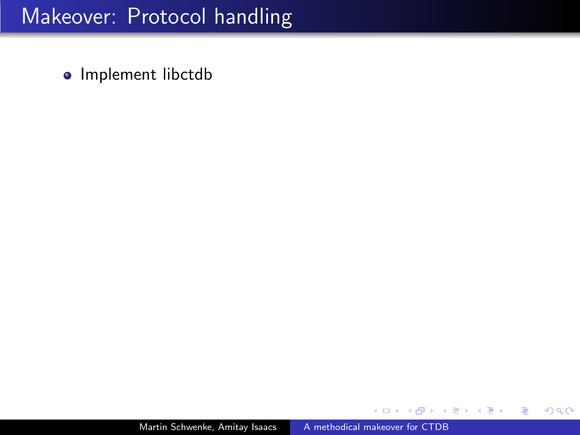• Implement libctdb

×  $\Box$  э

D. ×.  $\rightarrow$ 

э

 $299$ 

目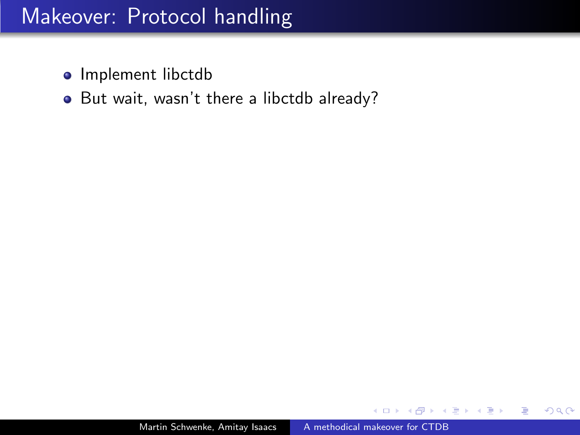- Implement libctdb
- But wait, wasn't there a libctdb already?

э

つくへ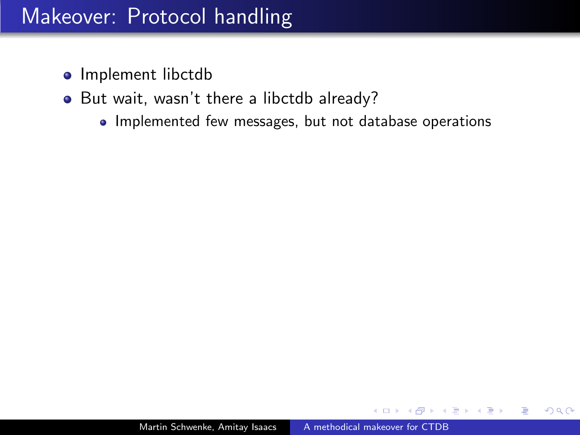- Implement libctdb
- But wait, wasn't there a libctdb already?
	- Implemented few messages, but not database operations

 $\Omega$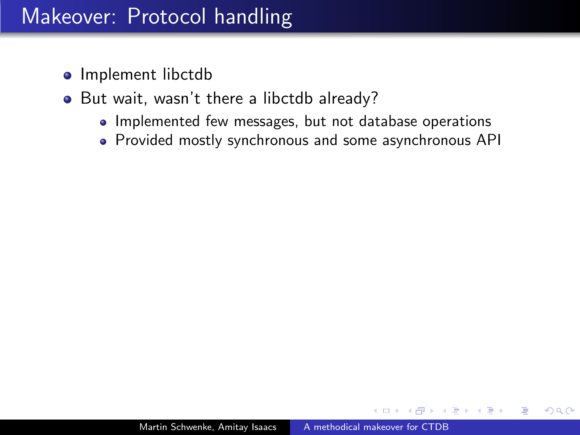- Implement libctdb
- But wait, wasn't there a libctdb already?
	- Implemented few messages, but not database operations
	- Provided mostly synchronous and some asynchronous API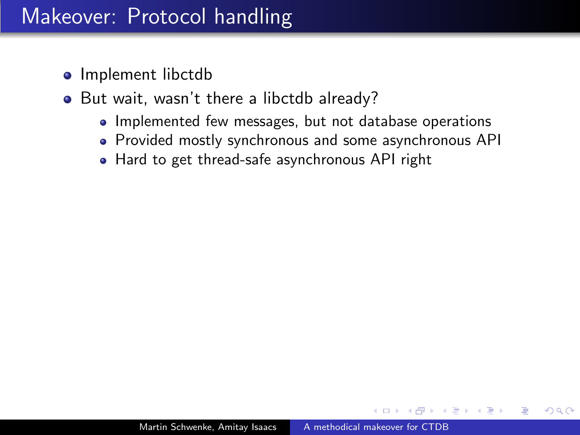- Implement libctdb
- But wait, wasn't there a libctdb already?
	- Implemented few messages, but not database operations
	- Provided mostly synchronous and some asynchronous API
	- Hard to get thread-safe asynchronous API right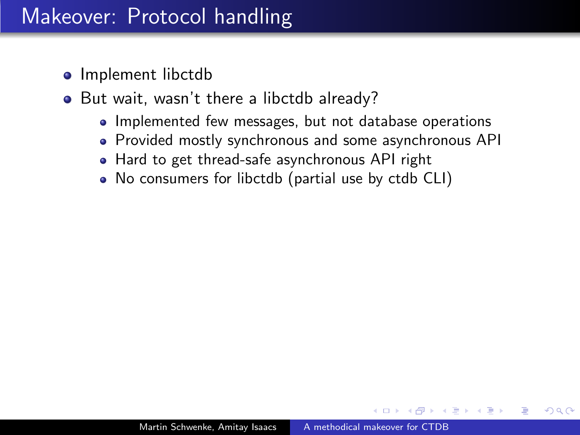- Implement libctdb
- But wait, wasn't there a libctdb already?
	- Implemented few messages, but not database operations
	- Provided mostly synchronous and some asynchronous API
	- Hard to get thread-safe asynchronous API right
	- No consumers for libctdb (partial use by ctdb CLI)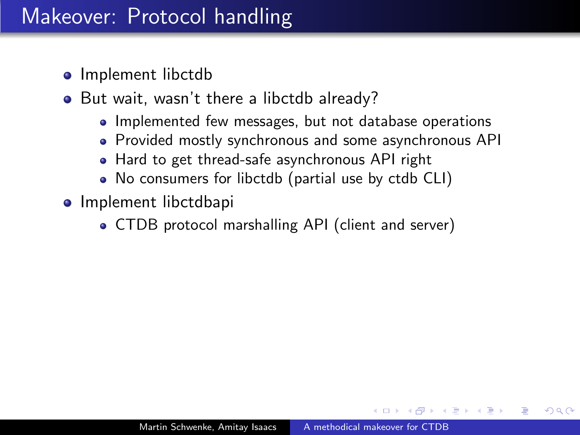- Implement libctdb
- But wait, wasn't there a libctdb already?
	- Implemented few messages, but not database operations
	- Provided mostly synchronous and some asynchronous API
	- Hard to get thread-safe asynchronous API right
	- No consumers for libctdb (partial use by ctdb CLI)
- **•** Implement libctdbapi
	- CTDB protocol marshalling API (client and server)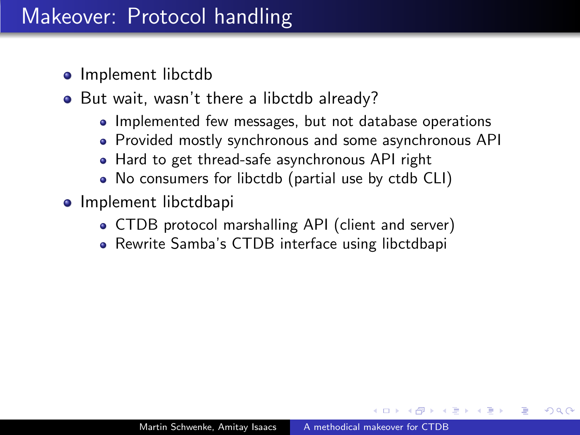- Implement libctdb
- But wait, wasn't there a libctdb already?
	- Implemented few messages, but not database operations
	- Provided mostly synchronous and some asynchronous API
	- Hard to get thread-safe asynchronous API right
	- No consumers for libctdb (partial use by ctdb CLI)
- **•** Implement libctdbapi
	- CTDB protocol marshalling API (client and server)
	- Rewrite Samba's CTDB interface using libctdbapi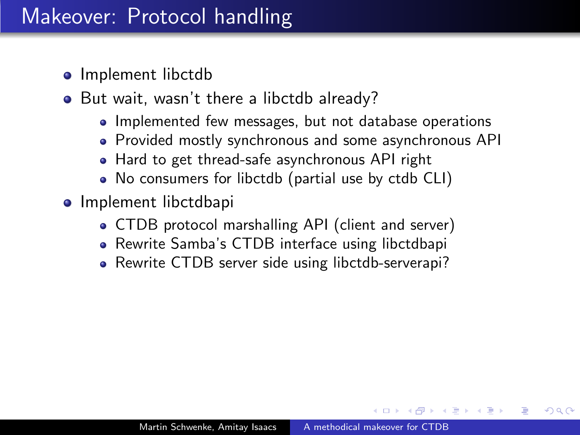- Implement libctdb
- But wait, wasn't there a libctdb already?
	- Implemented few messages, but not database operations
	- Provided mostly synchronous and some asynchronous API
	- Hard to get thread-safe asynchronous API right
	- No consumers for libctdb (partial use by ctdb CLI)
- **•** Implement libctdbapi
	- CTDB protocol marshalling API (client and server)
	- Rewrite Samba's CTDB interface using libctdbapi
	- Rewrite CTDB server side using libctdb-serverapi?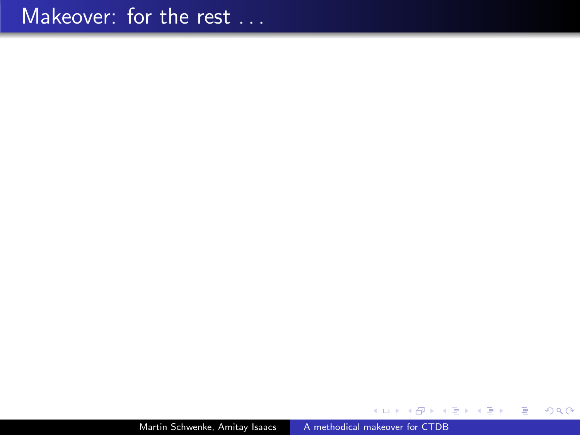Martin Schwenke, Amitay Isaacs [A methodical makeover for CTDB](#page-0-0)

医间周的间周的

 $\leftarrow$ Þ a. a 目

 $299$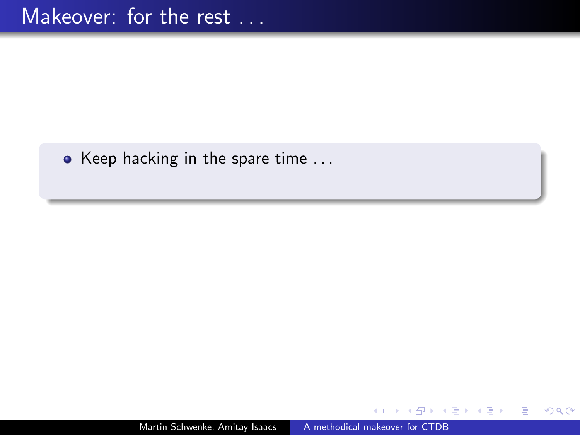$\bullet$  Keep hacking in the spare time ...

 $299$ 

∍

造

э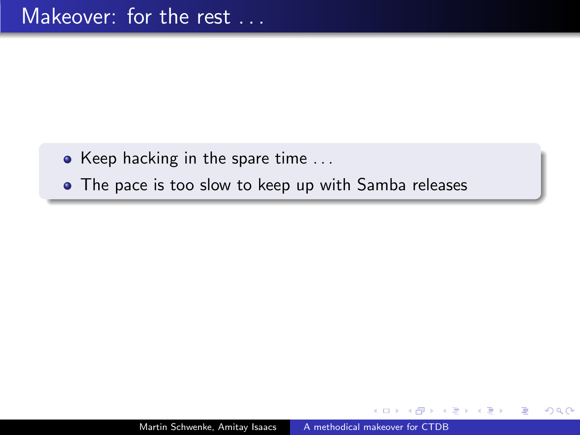- $\bullet$  Keep hacking in the spare time ...
- The pace is too slow to keep up with Samba releases

つへへ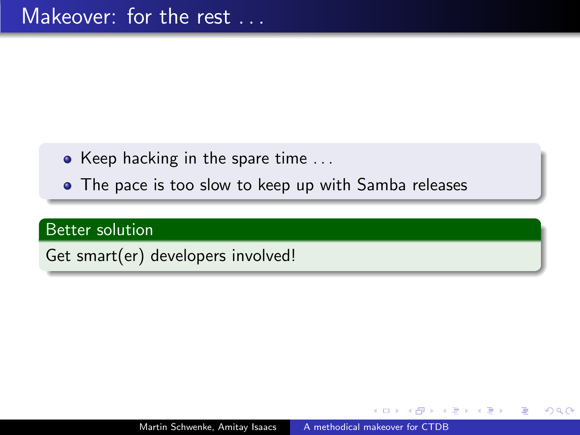- Keep hacking in the spare time  $\dots$
- The pace is too slow to keep up with Samba releases

#### Better solution

Get smart(er) developers involved!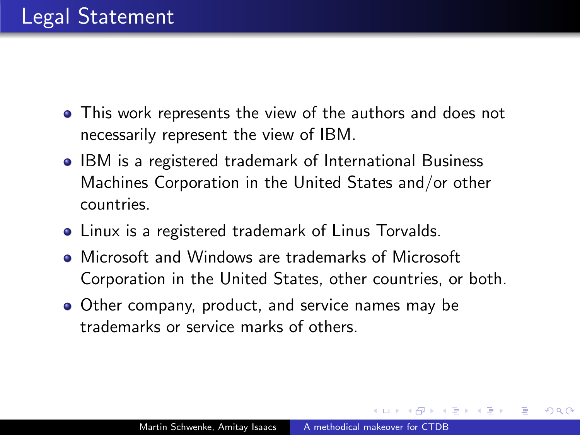- This work represents the view of the authors and does not necessarily represent the view of IBM.
- IBM is a registered trademark of International Business Machines Corporation in the United States and/or other countries.
- Linux is a registered trademark of Linus Torvalds.
- Microsoft and Windows are trademarks of Microsoft Corporation in the United States, other countries, or both.
- Other company, product, and service names may be trademarks or service marks of others.